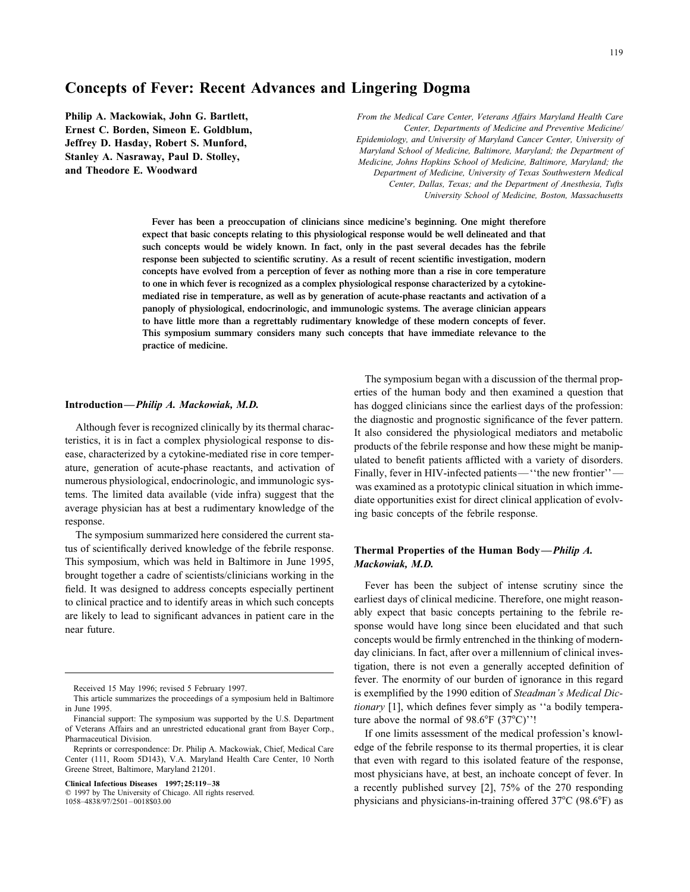# **Concepts of Fever: Recent Advances and Lingering Dogma**

**Philip A. Mackowiak, John G. Bartlett,** *From the Medical Care Center, Veterans Affairs Maryland Health Care* **Ernest C. Borden, Simeon E. Goldblum,** *Center, Departments of Medicine and Preventive Medicine/*<br> *Epidemiology, and University of Maryland Cancer Center, University of Argyland Cancer Center, University of* **Jeffrey D. Hasday, Robert S. Munford,** *Epidemiology, and University of Maryland Cancer Center, University of*<br> **Stanley A. Nasraway, Paul D. Stolley,** *Maryland School of Medicine, Baltimore, Maryland; the Department of* **and Theodore E. Woodward** *Department of Medicine, University of Texas Southwestern Medical Center, Dallas, Texas; and the Department of Anesthesia, Tufts University School of Medicine, Boston, Massachusetts*

> **Fever has been a preoccupation of clinicians since medicine's beginning. One might therefore expect that basic concepts relating to this physiological response would be well delineated and that such concepts would be widely known. In fact, only in the past several decades has the febrile response been subjected to scientific scrutiny. As a result of recent scientific investigation, modern concepts have evolved from a perception of fever as nothing more than a rise in core temperature to one in which fever is recognized as a complex physiological response characterized by a cytokinemediated rise in temperature, as well as by generation of acute-phase reactants and activation of a panoply of physiological, endocrinologic, and immunologic systems. The average clinician appears to have little more than a regrettably rudimentary knowledge of these modern concepts of fever. This symposium summary considers many such concepts that have immediate relevance to the practice of medicine.**

response.

The symposium summarized here considered the current status of scientifically derived knowledge of the febrile response. **Thermal Properties of the Human Body—***Philip A.* This symposium, which was held in Baltimore in June 1995, *Mackowiak, M.D.* brought together a cadre of scientists/clinicians working in the field. It was designed to address concepts especially pertinent Fever has been the subject of intense scrutiny since the to clinical practice and to identify areas in which such concepts earliest days of clinical medicine. Therefore, one might reasonare likely to lead to significant advances in patient care in the ably expect that basic concepts pertaining to the febrile response would have long since been elucidated and that such near future.

The symposium began with a discussion of the thermal properties of the human body and then examined a question that **Introduction—***Philip A. Mackowiak, M.D.* has dogged clinicians since the earliest days of the profession: Although fever is recognized clinically by its thermal charac-<br>teristics, it is in fact a complex physiological response to dis-<br>ease, characterized by a cytokine-mediated rise in core temper-<br>ature, generation of acute-ph

concepts would be firmly entrenched in the thinking of modernday clinicians. In fact, after over a millennium of clinical investigation, there is not even a generally accepted definition of Received 15 May 1996; revised 5 February 1997.<br>This article summarizes the proceedings of a symposium held in Baltimore is exemplified by the 1990 edition of Steadman's Medical Dic-

edge of the febrile response to its thermal properties, it is clear Center (111, Room 5D143), V.A. Maryland Health Care Center, 10 North that even with regard to this isolated feature of the response,<br>Greene Street, Baltimore, Maryland 21201. most physicians have, at best, an inchoate conc **Clinical Infectious Diseases 1997;25:119–38** a recently published survey [2], 75% of the 270 responding  $\degree$  1997 by The University of Chicago. All rights reserved. 1058–4838/97/2501–0018803.00 physicians and physicians-in-training offered 37°C (98.6°F) as

in June 1995. *tionary* [1], which defines fever simply as ''a bodily tempera-

Financial support: The symposium was supported by the U.S. Department<br>of Veterans Affairs and an unrestricted educational grant from Bayer Corp.,<br>Pharmaceutical Division.<br>Reprints or correspondence: Dr. Philip A. Mackowiak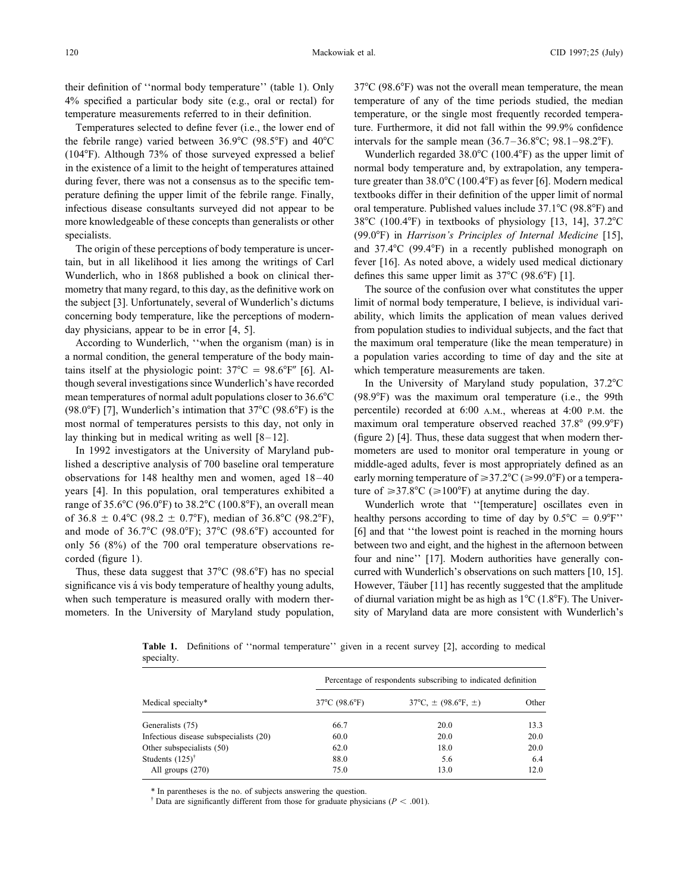4% specified a particular body site (e.g., oral or rectal) for temperature of any of the time periods studied, the median temperature measurements referred to in their definition. temperature, or the single most frequently recorded tempera-

the febrile range) varied between  $36.9^{\circ}C$  (98.5°F) and  $40^{\circ}C$  intervals for the sample mean  $(36.7-36.8^{\circ}C; 98.1-98.2^{\circ}F)$ . (1047F). Although 73% of those surveyed expressed a belief Wunderlich regarded 38.07C (100.47F) as the upper limit of in the existence of a limit to the height of temperatures attained normal body temperature and, by extrapolation, any temperaduring fever, there was not a consensus as to the specific tem- ture greater than  $38.0^{\circ}$ C (100.4 $^{\circ}$ F) as fever [6]. Modern medical perature defining the upper limit of the febrile range. Finally, textbooks differ in their definition of the upper limit of normal infectious disease consultants surveyed did not appear to be oral temperature. Published values include  $37.1^{\circ}$ C (98.8 $^{\circ}$ F) and more knowledgeable of these concepts than generalists or other 38°C (100.4°F) in textbooks of physiology [13, 14], 37.2°C specialists. (99.0°F) in *Harrison's Principles of Internal Medicine* [15],

tain, but in all likelihood it lies among the writings of Carl fever [16]. As noted above, a widely used medical dictionary Wunderlich, who in 1868 published a book on clinical ther- defines this same upper limit as  $37^{\circ}$ C (98.6°F) [1]. mometry that many regard, to this day, as the definitive work on The source of the confusion over what constitutes the upper the subject [3]. Unfortunately, several of Wunderlich's dictums limit of normal body temperature, I believe, is individual variconcerning body temperature, like the perceptions of modern- ability, which limits the application of mean values derived day physicians, appear to be in error [4, 5]. from population studies to individual subjects, and the fact that

a normal condition, the general temperature of the body main- a population varies according to time of day and the site at tains itself at the physiologic point:  $37^{\circ}\text{C} = 98.6^{\circ}\text{F}^{T}$  [6]. Al- which temperature measurements are taken. though several investigations since Wunderlich's have recorded In the University of Maryland study population, 37.2°C mean temperatures of normal adult populations closer to 36.6°C (98.9°F) was the maximum oral temperature (i.e., the 99th (98.0°F) [7], Wunderlich's intimation that  $37^{\circ}C$  (98.6°F) is the percentile) recorded at 6:00 A.M., whereas at 4:00 P.M. the most normal of temperatures persists to this day, not only in maximum oral temperature observed reached 37.8° (99.9°F) lay thinking but in medical writing as well  $[8-12]$ . (figure 2) [4]. Thus, these data suggest that when modern ther-

lished a descriptive analysis of 700 baseline oral temperature middle-aged adults, fever is most appropriately defined as an observations for 148 healthy men and women, aged  $18-40$  early morning temperature of  $\geq 37.2^{\circ}\text{C}$  ( $\geq 99.0^{\circ}\text{F}$ ) or a temperayears [4]. In this population, oral temperatures exhibited a ture of  $\geq 37.8^{\circ}C \approx 100^{\circ}F$  at anytime during the day. range of 35.6°C (96.0°F) to 38.2°C (100.8°F), an overall mean Wunderlich wrote that "[temperature] oscillates even in of  $36.8 \pm 0.4^{\circ}$ C (98.2  $\pm$  0.7°F), median of  $36.8^{\circ}$ C (98.2°F), healthy persons according to time of day by  $0.5^{\circ}$ C = 0.9°F'' and mode of  $36.7^{\circ}C$  ( $98.0^{\circ}F$ );  $37^{\circ}C$  ( $98.6^{\circ}F$ ) accounted for [6] and that "the lowest point is reached in the morning hours only 56 (8%) of the 700 oral temperature observations re- between two and eight, and the highest in the afternoon between

significance vis a´ vis body temperature of healthy young adults, However, Täuber [11] has recently suggested that the amplitude when such temperature is measured orally with modern ther- of diurnal variation might be as high as  $1^{\circ}C(1.8^{\circ}F)$ . The Univermometers. In the University of Maryland study population, sity of Maryland data are more consistent with Wunderlich's

their definition of "normal body temperature" (table 1). Only 37°C (98.6°F) was not the overall mean temperature, the mean Temperatures selected to define fever (i.e., the lower end of ture. Furthermore, it did not fall within the 99.9% confidence

The origin of these perceptions of body temperature is uncer- and  $37.4^{\circ}C$  (99.4 $^{\circ}F$ ) in a recently published monograph on

According to Wunderlich, ''when the organism (man) is in the maximum oral temperature (like the mean temperature) in

In 1992 investigators at the University of Maryland pub- mometers are used to monitor oral temperature in young or

corded (figure 1). four and nine'' [17]. Modern authorities have generally con-Thus, these data suggest that  $37^{\circ}C$  (98.6°F) has no special curred with Wunderlich's observations on such matters [10, 15].

**Table 1.** Definitions of ''normal temperature'' given in a recent survey [2], according to medical specialty.

|                                        | Percentage of respondents subscribing to indicated definition |                                        |       |  |  |
|----------------------------------------|---------------------------------------------------------------|----------------------------------------|-------|--|--|
| Medical specialty*                     | $37^{\circ}$ C (98.6 $^{\circ}$ F)                            | $37^{\circ}$ C, $\pm$ (98.6°F, $\pm$ ) | Other |  |  |
| Generalists (75)                       | 66.7                                                          | 20.0                                   | 13.3  |  |  |
| Infectious disease subspecialists (20) | 60.0                                                          | 20.0                                   | 20.0  |  |  |
| Other subspecialists (50)              | 62.0                                                          | 18.0                                   | 20.0  |  |  |
| Students $(125)^{\dagger}$             | 88.0                                                          | 5.6                                    | 6.4   |  |  |
| All groups $(270)$                     | 75.0                                                          | 13.0                                   | 12.0  |  |  |

\* In parentheses is the no. of subjects answering the question.

<sup>†</sup> Data are significantly different from those for graduate physicians ( $P < .001$ ).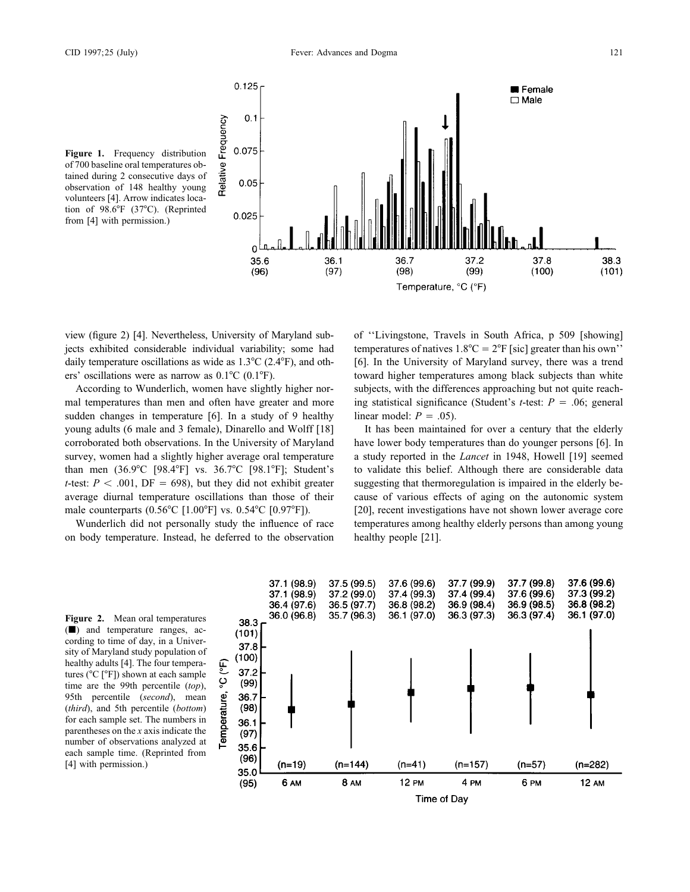



view (figure 2) [4]. Nevertheless, University of Maryland sub- of ''Livingstone, Travels in South Africa, p 509 [showing] jects exhibited considerable individual variability; some had temperatures of natives  $1.8^{\circ}\text{C} = 2^{\circ}\text{F}$  [sic] greater than his own''

sudden changes in temperature [6]. In a study of 9 healthy linear model:  $P = .05$ ). young adults (6 male and 3 female), Dinarello and Wolff [18] It has been maintained for over a century that the elderly

on body temperature. Instead, he deferred to the observation healthy people [21].

daily temperature oscillations as wide as  $1.3^{\circ}C(2.4^{\circ}F)$ , and oth- [6]. In the University of Maryland survey, there was a trend ers' oscillations were as narrow as  $0.1^{\circ}C$  ( $0.1^{\circ}F$ ). toward higher temperatures among black subjects than white According to Wunderlich, women have slightly higher nor- subjects, with the differences approaching but not quite reachmal temperatures than men and often have greater and more ing statistical significance (Student's *t*-test:  $P = .06$ ; general

corroborated both observations. In the University of Maryland have lower body temperatures than do younger persons [6]. In survey, women had a slightly higher average oral temperature a study reported in the *Lancet* in 1948, Howell [19] seemed than men (36.9°C [98.4°F] vs. 36.7°C [98.1°F]; Student's to validate this belief. Although there are considerable data *t*-test:  $P < .001$ , DF = 698), but they did not exhibit greater suggesting that thermoregulation is impaired in the elderly beaverage diurnal temperature oscillations than those of their cause of various effects of aging on the autonomic system male counterparts  $(0.56^{\circ}\text{C} \mid 1.00^{\circ}\text{F} \mid \text{vs. } 0.54^{\circ}\text{C} \mid 0.97^{\circ}\text{F}])$ . [20], recent investigations have not shown lower average core Wunderlich did not personally study the influence of race temperatures among healthy elderly persons than among young

**Figure 2.** Mean oral temperatures  $(\blacksquare)$  and temperature ranges, according to time of day, in a University of Maryland study population of healthy adults [4]. The four temperatures ( $\degree$ C  $\degree$ F]) shown at each sample time are the 99th percentile (*top*), 95th percentile (*second*), mean (*third*), and 5th percentile (*bottom*) for each sample set. The numbers in parentheses on the *x* axis indicate the number of observations analyzed at each sample time. (Reprinted from [4] with permission.)

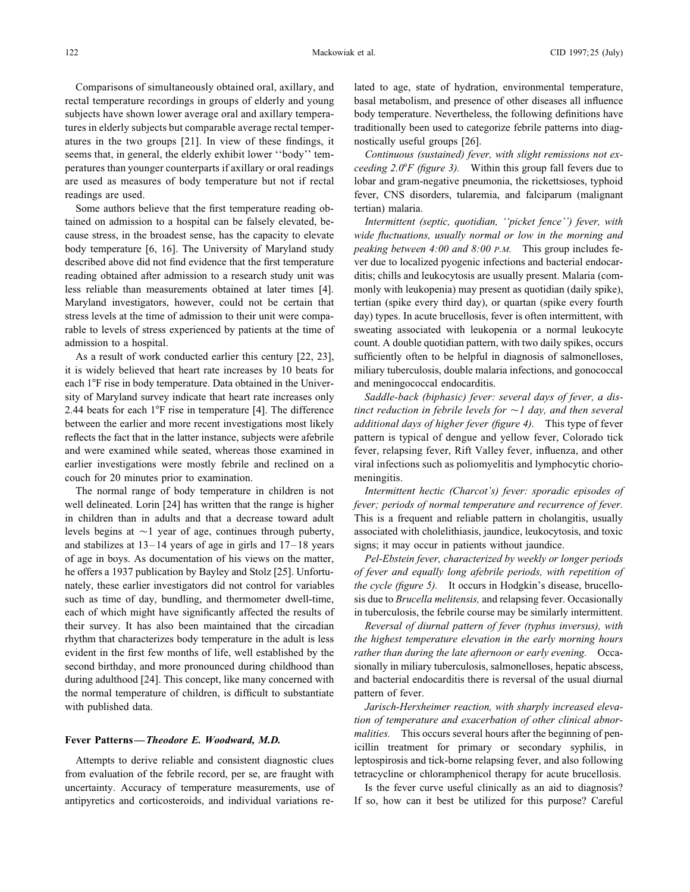rectal temperature recordings in groups of elderly and young basal metabolism, and presence of other diseases all influence subjects have shown lower average oral and axillary tempera- body temperature. Nevertheless, the following definitions have tures in elderly subjects but comparable average rectal temper- traditionally been used to categorize febrile patterns into diagatures in the two groups [21]. In view of these findings, it nostically useful groups [26]. seems that, in general, the elderly exhibit lower ''body'' tem- *Continuous (sustained) fever, with slight remissions not ex*peratures than younger counterparts if axillary or oral readings *ceeding 2.0*7*F (figure 3).* Within this group fall fevers due to are used as measures of body temperature but not if rectal lobar and gram-negative pneumonia, the rickettsioses, typhoid readings are used. fever, CNS disorders, tularemia, and falciparum (malignant

Some authors believe that the first temperature reading ob- tertian) malaria. tained on admission to a hospital can be falsely elevated, be- *Intermittent (septic, quotidian, ''picket fence'') fever, with* cause stress, in the broadest sense, has the capacity to elevate *wide fluctuations, usually normal or low in the morning and* body temperature [6, 16]. The University of Maryland study *peaking between 4:00 and 8:00 P.M.* This group includes fedescribed above did not find evidence that the first temperature ver due to localized pyogenic infections and bacterial endocarreading obtained after admission to a research study unit was ditis; chills and leukocytosis are usually present. Malaria (comless reliable than measurements obtained at later times [4]. monly with leukopenia) may present as quotidian (daily spike), Maryland investigators, however, could not be certain that tertian (spike every third day), or quartan (spike every fourth stress levels at the time of admission to their unit were compa- day) types. In acute brucellosis, fever is often intermittent, with rable to levels of stress experienced by patients at the time of sweating associated with leukopenia or a normal leukocyte admission to a hospital. count. A double quotidian pattern, with two daily spikes, occurs

it is widely believed that heart rate increases by 10 beats for miliary tuberculosis, double malaria infections, and gonococcal each 1°F rise in body temperature. Data obtained in the Univer- and meningococcal endocarditis. sity of Maryland survey indicate that heart rate increases only *Saddle-back (biphasic) fever: several days of fever, a dis-*2.44 beats for each  $1^{\circ}F$  rise in temperature [4]. The difference *tinct reduction in febrile levels for*  $\sim$  *l day, and then several* between the earlier and more recent investigations most likely *additional days of higher fever (figure 4).* This type of fever reflects the fact that in the latter instance, subjects were afebrile pattern is typical of dengue and yellow fever, Colorado tick and were examined while seated, whereas those examined in fever, relapsing fever, Rift Valley fever, influenza, and other earlier investigations were mostly febrile and reclined on a viral infections such as poliomyelitis and lymphocytic choriocouch for 20 minutes prior to examination. meningitis.

The normal range of body temperature in children is not *Intermittent hectic (Charcot's) fever: sporadic episodes of* well delineated. Lorin [24] has written that the range is higher *fever; periods of normal temperature and recurrence of fever.* in children than in adults and that a decrease toward adult This is a frequent and reliable pattern in cholangitis, usually levels begins at  $\sim$  1 year of age, continues through puberty, associated with cholelithiasis, jaundice, leukocytosis, and toxic and stabilizes at 13–14 years of age in girls and 17–18 years signs; it may occur in patients without jaundice. of age in boys. As documentation of his views on the matter, *Pel-Ebstein fever, characterized by weekly or longer periods* he offers a 1937 publication by Bayley and Stolz [25]. Unfortu- *of fever and equally long afebrile periods, with repetition of* nately, these earlier investigators did not control for variables *the cycle (figure 5)*. It occurs in Hodgkin's disease, brucellosuch as time of day, bundling, and thermometer dwell-time, sis due to *Brucella melitensis*, and relapsing fever. Occasionally each of which might have significantly affected the results of in tuberculosis, the febrile course may be similarly intermittent. their survey. It has also been maintained that the circadian *Reversal of diurnal pattern of fever (typhus inversus), with* rhythm that characterizes body temperature in the adult is less *the highest temperature elevation in the early morning hours* evident in the first few months of life, well established by the *rather than during the late afternoon or early evening.* Occasecond birthday, and more pronounced during childhood than sionally in miliary tuberculosis, salmonelloses, hepatic abscess, during adulthood [24]. This concept, like many concerned with and bacterial endocarditis there is reversal of the usual diurnal the normal temperature of children, is difficult to substantiate pattern of fever. with published data. *Jarisch-Herxheimer reaction, with sharply increased eleva-*

from evaluation of the febrile record, per se, are fraught with tetracycline or chloramphenicol therapy for acute brucellosis. uncertainty. Accuracy of temperature measurements, use of Is the fever curve useful clinically as an aid to diagnosis? antipyretics and corticosteroids, and individual variations re- If so, how can it best be utilized for this purpose? Careful

Comparisons of simultaneously obtained oral, axillary, and lated to age, state of hydration, environmental temperature,

As a result of work conducted earlier this century [22, 23], sufficiently often to be helpful in diagnosis of salmonelloses,

*tion of temperature and exacerbation of other clinical abnor-***Fever Patterns—***Theodore E. Woodward, M.D. malities.* This occurs several hours after the beginning of pen- icillin treatment for primary or secondary syphilis, in Attempts to derive reliable and consistent diagnostic clues leptospirosis and tick-borne relapsing fever, and also following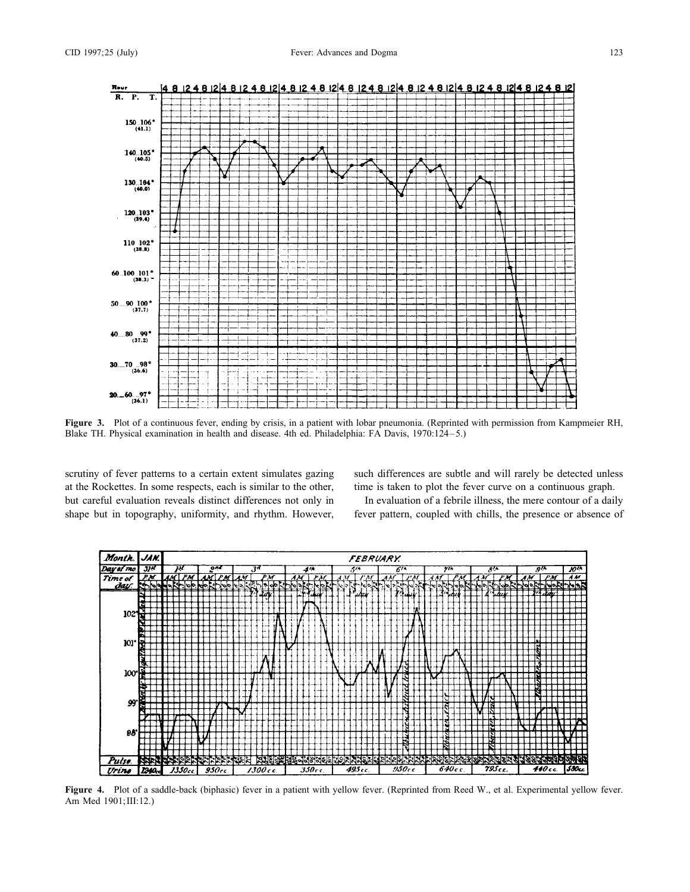

**Figure 3.** Plot of a continuous fever, ending by crisis, in a patient with lobar pneumonia. (Reprinted with permission from Kampmeier RH, Blake TH. Physical examination in health and disease. 4th ed. Philadelphia: FA Davis, 1970:124–5.)

at the Rockettes. In some respects, each is similar to the other, time is taken to plot the fever curve on a continuous graph. but careful evaluation reveals distinct differences not only in In evaluation of a febrile illness, the mere contour of a daily

scrutiny of fever patterns to a certain extent simulates gazing such differences are subtle and will rarely be detected unless

shape but in topography, uniformity, and rhythm. However, fever pattern, coupled with chills, the presence or absence of



Figure 4. Plot of a saddle-back (biphasic) fever in a patient with yellow fever. (Reprinted from Reed W., et al. Experimental yellow fever. Am Med 1901;III:12.)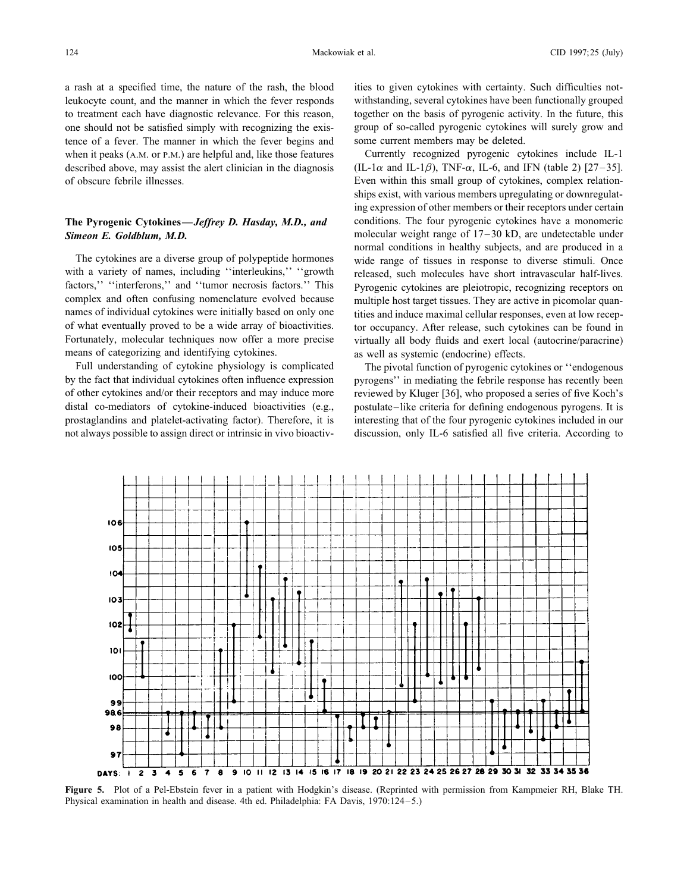a rash at a specified time, the nature of the rash, the blood ities to given cytokines with certainty. Such difficulties notleukocyte count, and the manner in which the fever responds withstanding, several cytokines have been functionally grouped to treatment each have diagnostic relevance. For this reason, together on the basis of pyrogenic activity. In the future, this one should not be satisfied simply with recognizing the exis- group of so-called pyrogenic cytokines will surely grow and tence of a fever. The manner in which the fever begins and some current members may be deleted. when it peaks (A.M. or P.M.) are helpful and, like those features Currently recognized pyrogenic cytokines include IL-1 described above, may assist the alert clinician in the diagnosis (IL-1 $\alpha$  and IL-1 $\beta$ ), TNF- $\alpha$ , IL-6, and IFN (table 2) [27–35]. of obscure febrile illnesses. Even within this small group of cytokines, complex relation-

complex and often confusing nomenclature evolved because multiple host target tissues. They are active in picomolar quan-<br>names of individual cytokines were initially based on only one tities and induce maximal cellular re means of categorizing and identifying cytokines. as well as systemic (endocrine) effects.

by the fact that individual cytokines often influence expression pyrogens'' in mediating the febrile response has recently been of other cytokines and/or their receptors and may induce more reviewed by Kluger [36], who proposed a series of five Koch's distal co-mediators of cytokine-induced bioactivities (e.g., postulate–like criteria for defining endogenous pyrogens. It is prostaglandins and platelet-activating factor). Therefore, it is interesting that of the four pyrogenic cytokines included in our not always possible to assign direct or intrinsic in vivo bioactiv- discussion, only IL-6 satisfied all five criteria. According to

ships exist, with various members upregulating or downregulating expression of other members or their receptors under certain **The Pyrogenic Cytokines—***Jeffrey D. Hasday, M.D., and* conditions. The four pyrogenic cytokines have a monomeric **Simeon E. Goldblum, M.D.** molecular weight range of 17–30 kD, are undetectable under normal conditions in healthy subjects, and are produced in a The cytokines are a diverse group of polypeptide hormones wide range of tissues in response to diverse stimuli. Once with a variety of names, including "interleukins," "growth released, such molecules have short intravascu released, such molecules have short intravascular half-lives. factors," "interferons," and "tumor necrosis factors." This pyrogenic cytokines are pleiotropic, recognizing receptors on complex and often confusing nomenclature evolved because multiple host target tissues. They are acti tities and induce maximal cellular responses, even at low recepof what eventually proved to be a wide array of bioactivities. tor occupancy. After release, such cytokines can be found in Fortunately, molecular techniques now offer a more precise virtually all body fluids and exert local (autocrine/paracrine)

Full understanding of cytokine physiology is complicated The pivotal function of pyrogenic cytokines or "endogenous



**Figure 5.** Plot of a Pel-Ebstein fever in a patient with Hodgkin's disease. (Reprinted with permission from Kampmeier RH, Blake TH. Physical examination in health and disease. 4th ed. Philadelphia: FA Davis, 1970:124–5.)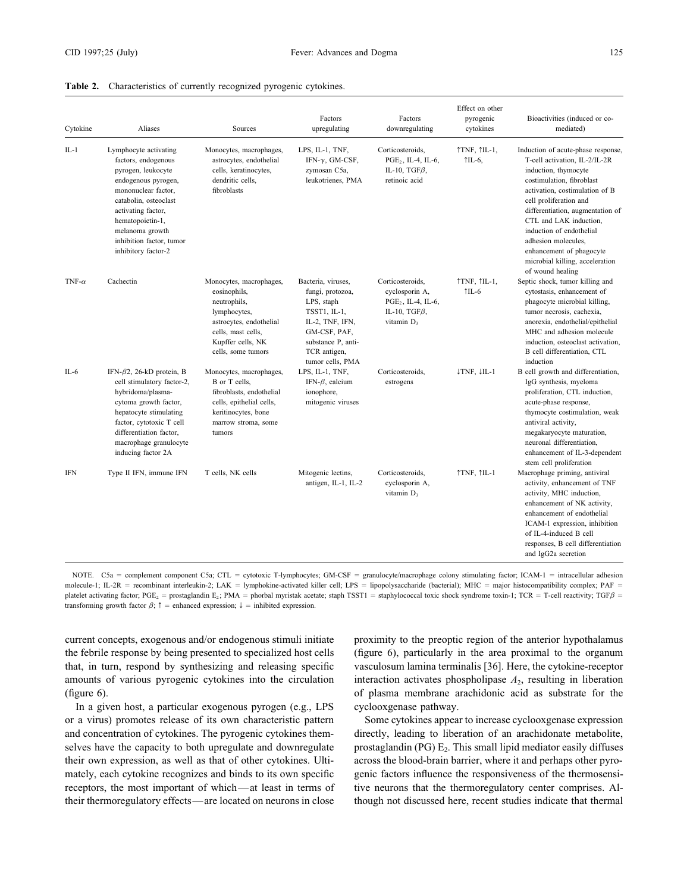| Cytokine      | Aliases                                                                                                                                                                                                                                                   | Sources                                                                                                                                                             | Factors<br>upregulating                                                                                                                                           | Factors<br>downregulating                                                                                     | Effect on other<br>pyrogenic<br>cytokines     | Bioactivities (induced or co-<br>mediated)                                                                                                                                                                                                                                                                                                                                               |
|---------------|-----------------------------------------------------------------------------------------------------------------------------------------------------------------------------------------------------------------------------------------------------------|---------------------------------------------------------------------------------------------------------------------------------------------------------------------|-------------------------------------------------------------------------------------------------------------------------------------------------------------------|---------------------------------------------------------------------------------------------------------------|-----------------------------------------------|------------------------------------------------------------------------------------------------------------------------------------------------------------------------------------------------------------------------------------------------------------------------------------------------------------------------------------------------------------------------------------------|
| $IL-1$        | Lymphocyte activating<br>factors, endogenous<br>pyrogen, leukocyte<br>endogenous pyrogen,<br>mononuclear factor,<br>catabolin, osteoclast<br>activating factor,<br>hematopoietin-1,<br>melanoma growth<br>inhibition factor, tumor<br>inhibitory factor-2 | Monocytes, macrophages,<br>astrocytes, endothelial<br>cells, keratinocytes,<br>dendritic cells,<br>fibroblasts                                                      | LPS, IL-1, TNF,<br>IFN- $\gamma$ , GM-CSF,<br>zymosan C5a,<br>leukotrienes, PMA                                                                                   | Corticosteroids,<br>$PGE_2$ , IL-4, IL-6,<br>IL-10, TGF $\beta$ ,<br>retinoic acid                            | $\uparrow$ TNF, $\uparrow$ IL-1,<br>$1IL-6$ , | Induction of acute-phase response,<br>T-cell activation, IL-2/IL-2R<br>induction, thymocyte<br>costimulation, fibroblast<br>activation, costimulation of B<br>cell proliferation and<br>differentiation, augmentation of<br>CTL and LAK induction,<br>induction of endothelial<br>adhesion molecules.<br>enhancement of phagocyte<br>microbial killing, acceleration<br>of wound healing |
| TNF- $\alpha$ | Cachectin                                                                                                                                                                                                                                                 | Monocytes, macrophages,<br>eosinophils,<br>neutrophils,<br>lymphocytes,<br>astrocytes, endothelial<br>cells, mast cells,<br>Kupffer cells, NK<br>cells, some tumors | Bacteria, viruses,<br>fungi, protozoa,<br>LPS, staph<br>TSST1, IL-1,<br>IL-2, TNF, IFN,<br>GM-CSF, PAF,<br>substance P, anti-<br>TCR antigen,<br>tumor cells, PMA | Corticosteroids,<br>cyclosporin A,<br>$PGE_2$ , IL-4, IL-6,<br>IL-10, TGF $\beta$ ,<br>vitamin D <sub>3</sub> | $\uparrow$ TNF, $\uparrow$ IL-1,<br>$1IL-6$   | Septic shock, tumor killing and<br>cytostasis, enhancement of<br>phagocyte microbial killing,<br>tumor necrosis, cachexia,<br>anorexia, endothelial/epithelial<br>MHC and adhesion molecule<br>induction, osteoclast activation,<br>B cell differentiation, CTL<br>induction                                                                                                             |
| $IL-6$        | IFN- $\beta$ 2, 26-kD protein, B<br>cell stimulatory factor-2,<br>hybridoma/plasma-<br>cytoma growth factor,<br>hepatocyte stimulating<br>factor, cytotoxic T cell<br>differentiation factor,<br>macrophage granulocyte<br>inducing factor 2A             | Monocytes, macrophages,<br>B or T cells,<br>fibroblasts, endothelial<br>cells, epithelial cells,<br>keritinocytes, bone<br>marrow stroma, some<br>tumors            | LPS, IL-1, TNF,<br>IFN- $\beta$ , calcium<br>ionophore,<br>mitogenic viruses                                                                                      | Corticosteroids,<br>estrogens                                                                                 | $\downarrow$ TNF, $\downarrow$ IL-1           | B cell growth and differentiation,<br>IgG synthesis, myeloma<br>proliferation, CTL induction,<br>acute-phase response,<br>thymocyte costimulation, weak<br>antiviral activity,<br>megakaryocyte maturation,<br>neuronal differentiation,<br>enhancement of IL-3-dependent<br>stem cell proliferation                                                                                     |
| <b>IFN</b>    | Type II IFN, immune IFN                                                                                                                                                                                                                                   | T cells, NK cells                                                                                                                                                   | Mitogenic lectins,<br>antigen, IL-1, IL-2                                                                                                                         | Corticosteroids,<br>cyclosporin A,<br>vitamin $D_3$                                                           | ↑TNF, ↑IL-1                                   | Macrophage priming, antiviral<br>activity, enhancement of TNF<br>activity, MHC induction,<br>enhancement of NK activity,<br>enhancement of endothelial<br>ICAM-1 expression, inhibition<br>of IL-4-induced B cell<br>responses, B cell differentiation<br>and IgG2a secretion                                                                                                            |

NOTE. C5a = complement component C5a; CTL = cytotoxic T-lymphocytes; GM-CSF = granulocyte/macrophage colony stimulating factor; ICAM-1 = intracellular adhesion molecule-1; IL-2R = recombinant interleukin-2; LAK = lymphokine-activated killer cell; LPS = lipopolysaccharide (bacterial); MHC = major histocompatibility complex; PAF = platelet activating factor; PGE<sub>2</sub> = prostaglandin E<sub>2</sub>; PMA = phorbal myristak acetate; staph TSST1 = staphylococcal toxic shock syndrome toxin-1; TCR = T-cell reactivity; TGF $\beta$  = transforming growth factor  $\beta$ ;  $\uparrow$  = enhanced expression;  $\downarrow$  = inhibited expression.

the febrile response by being presented to specialized host cells (figure 6), particularly in the area proximal to the organum that, in turn, respond by synthesizing and releasing specific vasculosum lamina terminalis [36]. Here, the cytokine-receptor amounts of various pyrogenic cytokines into the circulation interaction activates phospholipase *A*2, resulting in liberation (figure 6). of plasma membrane arachidonic acid as substrate for the

In a given host, a particular exogenous pyrogen (e.g., LPS cyclooxgenase pathway. or a virus) promotes release of its own characteristic pattern Some cytokines appear to increase cyclooxgenase expression and concentration of cytokines. The pyrogenic cytokines them- directly, leading to liberation of an arachidonate metabolite, selves have the capacity to both upregulate and downregulate prostaglandin  $(PG) E<sub>2</sub>$ . This small lipid mediator easily diffuses their own expression, as well as that of other cytokines. Ulti- across the blood-brain barrier, where it and perhaps other pyromately, each cytokine recognizes and binds to its own specific genic factors influence the responsiveness of the thermosensireceptors, the most important of which—at least in terms of tive neurons that the thermoregulatory center comprises. Al-

current concepts, exogenous and/or endogenous stimuli initiate proximity to the preoptic region of the anterior hypothalamus

their thermoregulatory effects—are located on neurons in close though not discussed here, recent studies indicate that thermal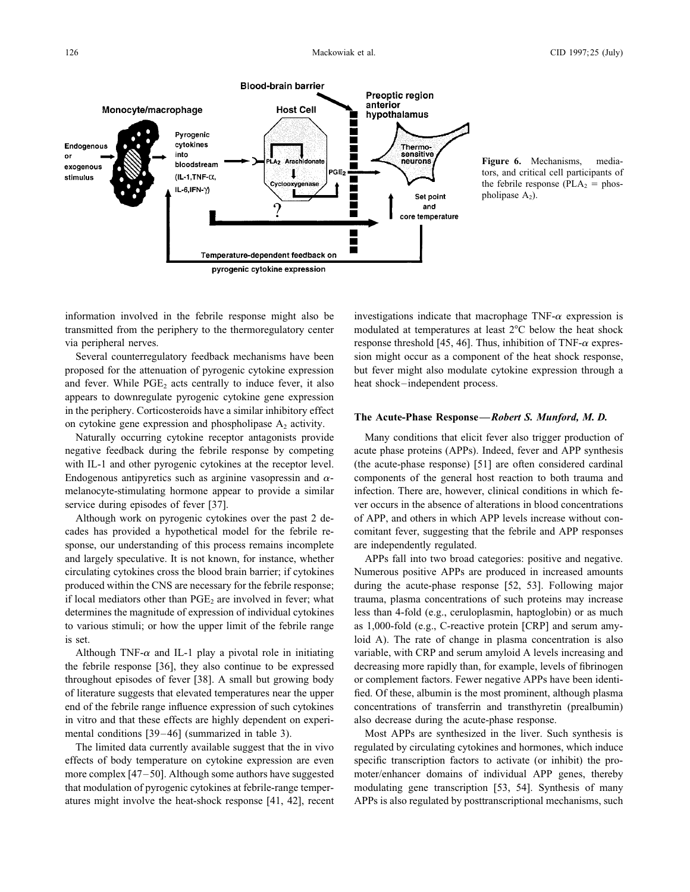

**Figure 6.** Mechanisms, mediators, and critical cell participants of the febrile response ( $PLA_2 =$ phospholipase  $A_2$ ).

information involved in the febrile response might also be investigations indicate that macrophage  $TNF-\alpha$  expression is transmitted from the periphery to the thermoregulatory center modulated at temperatures at least 2°C below the heat shock via peripheral nerves. response threshold [45, 46]. Thus, inhibition of TNF- $\alpha$  expres-

proposed for the attenuation of pyrogenic cytokine expression but fever might also modulate cytokine expression through a and fever. While PGE<sub>2</sub> acts centrally to induce fever, it also heat shock–independent process. appears to downregulate pyrogenic cytokine gene expression in the periphery. Corticosteroids have a similar inhibitory effect<br>on cytokine gene expression and phospholipase A<sub>2</sub> activity.<br>The Acute-Phase Response—*Robert S. Munford, M. D.* 

negative feedback during the febrile response by competing acute phase proteins (APPs). Indeed, fever and APP synthesis with IL-1 and other pyrogenic cytokines at the receptor level. (the acute-phase response) [51] are often considered cardinal Endogenous antipyretics such as arginine vasopressin and  $\alpha$ - components of the general host reaction to both trauma and melanocyte-stimulating hormone appear to provide a similar infection. There are, however, clinical conditions in which feservice during episodes of fever [37]. ver occurs in the absence of alterations in blood concentrations

cades has provided a hypothetical model for the febrile re- comitant fever, suggesting that the febrile and APP responses sponse, our understanding of this process remains incomplete are independently regulated. and largely speculative. It is not known, for instance, whether APPs fall into two broad categories: positive and negative. circulating cytokines cross the blood brain barrier; if cytokines Numerous positive APPs are produced in increased amounts produced within the CNS are necessary for the febrile response; during the acute-phase response [52, 53]. Following major if local mediators other than  $PGE_2$  are involved in fever; what trauma, plasma concentrations of such proteins may increase determines the magnitude of expression of individual cytokines less than 4-fold (e.g., ceruloplasmin, haptoglobin) or as much to various stimuli; or how the upper limit of the febrile range as 1,000-fold (e.g., C-reactive protein [CRP] and serum amyis set. loid A). The rate of change in plasma concentration is also

the febrile response [36], they also continue to be expressed decreasing more rapidly than, for example, levels of fibrinogen throughout episodes of fever [38]. A small but growing body or complement factors. Fewer negative APPs have been identiof literature suggests that elevated temperatures near the upper fied. Of these, albumin is the most prominent, although plasma end of the febrile range influence expression of such cytokines concentrations of transferrin and transthyretin (prealbumin) in vitro and that these effects are highly dependent on experi- also decrease during the acute-phase response. mental conditions [39–46] (summarized in table 3). Most APPs are synthesized in the liver. Such synthesis is

effects of body temperature on cytokine expression are even specific transcription factors to activate (or inhibit) the promore complex [47–50]. Although some authors have suggested moter/enhancer domains of individual APP genes, thereby that modulation of pyrogenic cytokines at febrile-range temper- modulating gene transcription [53, 54]. Synthesis of many atures might involve the heat-shock response [41, 42], recent APPs is also regulated by posttranscriptional mechanisms, such

Several counterregulatory feedback mechanisms have been sion might occur as a component of the heat shock response,

Naturally occurring cytokine receptor antagonists provide Many conditions that elicit fever also trigger production of Although work on pyrogenic cytokines over the past 2 de- of APP, and others in which APP levels increase without con-

Although TNF- $\alpha$  and IL-1 play a pivotal role in initiating variable, with CRP and serum amyloid A levels increasing and

The limited data currently available suggest that the in vivo regulated by circulating cytokines and hormones, which induce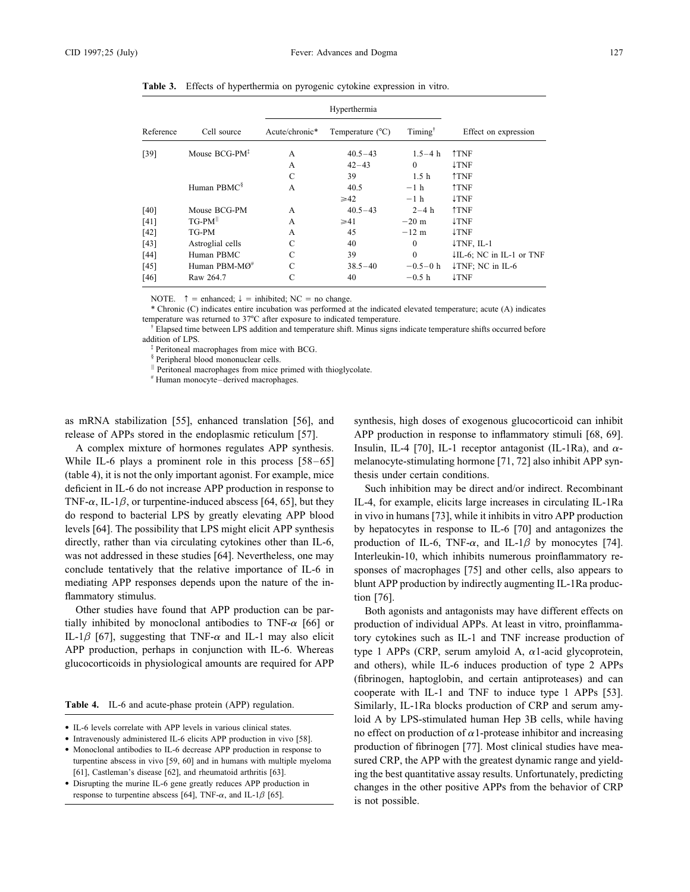|           |                                | Hyperthermia   |                           |                        |                                      |  |
|-----------|--------------------------------|----------------|---------------------------|------------------------|--------------------------------------|--|
| Reference | Cell source                    | Acute/chronic* | Temperature $(^{\circ}C)$ | $T$ iming <sup>†</sup> | Effect on expression                 |  |
| $[39]$    | Mouse $BCG-PM^{\ddagger}$      | A              | $40.5 - 43$               | $1.5 - 4 h$            | <b>TNF</b>                           |  |
|           |                                | A              | $42 - 43$                 | $\theta$               | $\downarrow$ TNF                     |  |
|           |                                | C              | 39                        | 1.5 <sub>h</sub>       | <b>TNF</b>                           |  |
|           | Human PBMC <sup>§</sup>        | A              | 40.5                      | $-1h$                  | <b>TNF</b>                           |  |
|           |                                |                | $\geq 42$                 | $-1h$                  | $\downarrow$ TNF                     |  |
| [40]      | Mouse BCG-PM                   | $\overline{A}$ | $40.5 - 43$               | $2 - 4 h$              | <b>TNF</b>                           |  |
| [41]      | $TG-PM$                        | A              | $\geq 41$                 | $-20$ m                | $\downarrow$ TNF                     |  |
| $[42]$    | TG-PM                          | $\overline{A}$ | 45                        | $-12$ m                | $\downarrow$ TNF                     |  |
| [43]      | Astroglial cells               | C              | 40                        | $\theta$               | $\downarrow$ TNF, IL-1               |  |
| $[44]$    | Human PBMC                     | C              | 39                        | $\Omega$               | $\downarrow$ IL-6; NC in IL-1 or TNF |  |
| [45]      | Human PBM-M $\mathcal{O}^{\#}$ | C              | $38.5 - 40$               | $-0.5-0h$              | $\downarrow$ TNF; NC in IL-6         |  |
| $[46]$    | Raw 264.7                      | С              | 40                        | $-0.5$ h               | <b>TNF</b>                           |  |

**Table 3.** Effects of hyperthermia on pyrogenic cytokine expression in vitro.

NOTE.  $\uparrow$  = enhanced;  $\downarrow$  = inhibited; NC = no change.

\* Chronic (C) indicates entire incubation was performed at the indicated elevated temperature; acute (A) indicates temperature was returned to 37°C after exposure to indicated temperature.

† Elapsed time between LPS addition and temperature shift. Minus signs indicate temperature shifts occurred before addition of LPS.

‡ Peritoneal macrophages from mice with BCG.

§ Peripheral blood mononuclear cells.

 $\mathbb I$  Peritoneal macrophages from mice primed with thioglycolate.

# Human monocyte–derived macrophages.

as mRNA stabilization [55], enhanced translation [56], and synthesis, high doses of exogenous glucocorticoid can inhibit release of APPs stored in the endoplasmic reticulum [57]. APP production in response to inflammatory stimuli [68, 69].

While IL-6 plays a prominent role in this process [58–65] melanocyte-stimulating hormone [71, 72] also inhibit APP syn-(table 4), it is not the only important agonist. For example, mice thesis under certain conditions. deficient in IL-6 do not increase APP production in response to Such inhibition may be direct and/or indirect. Recombinant TNF- $\alpha$ , IL-1 $\beta$ , or turpentine-induced abscess [64, 65], but they IL-4, for example, elicits large increases in circulating IL-1Ra do respond to bacterial LPS by greatly elevating APP blood in vivo in humans [73], while it inhibits in vitro APP production levels [64]. The possibility that LPS might elicit APP synthesis by hepatocytes in response to IL-6 [70] and antagonizes the directly, rather than via circulating cytokines other than IL-6, production of IL-6, TNF- $\alpha$ , and IL-1 $\beta$  by monocytes [74]. was not addressed in these studies [64]. Nevertheless, one may Interleukin-10, which inhibits numerous proinflammatory reconclude tentatively that the relative importance of IL-6 in sponses of macrophages [75] and other cells, also appears to mediating APP responses depends upon the nature of the in- blunt APP production by indirectly augmenting IL-1Ra producflammatory stimulus. tion [76].

Other studies have found that APP production can be par- Both agonists and antagonists may have different effects on tially inhibited by monoclonal antibodies to  $TNF-\alpha$  [66] or production of individual APPs. At least in vitro, proinflamma-IL-1 $\beta$  [67], suggesting that TNF- $\alpha$  and IL-1 may also elicit tory cytokines such as IL-1 and TNF increase production of APP production, perhaps in conjunction with IL-6. Whereas type 1 APPs (CRP, serum amyloid A,  $\alpha$ 1-acid glycoprotein,

- 
- 
- 
- 

A complex mixture of hormones regulates APP synthesis. Insulin, IL-4 [70], IL-1 receptor antagonist (IL-1Ra), and  $\alpha$ -

glucocorticoids in physiological amounts are required for APP and others), while IL-6 induces production of type 2 APPs (fibrinogen, haptoglobin, and certain antiproteases) and can cooperate with IL-1 and TNF to induce type 1 APPs [53]. **Table 4.** IL-6 and acute-phase protein (APP) regulation. Similarly, IL-1Ra blocks production of CRP and serum amy-• IL-6 levels correlate with APP levels in various clinical states.<br>
• Intravenously administered IL-6 elicits APP production in vivo [58].<br>
• Intravenously administered IL-6 elicits APP production in vivo [58]. • Monoclonal antibodies to IL-6 decrease APP production in response to production of fibrinogen [77]. Most clinical studies have meaturpentine abscess in vivo [59, 60] and in humans with multiple myeloma sured CRP, the APP with the greatest dynamic range and yield- [61], Castleman's disease [62], and rheumatoid arthritis [63]. ing the best quantitative assay results. Unfortunately, predicting Disrupting the murine IL-6 gene greatly reduces APP production in changes in the other positive APPs from the behavior of CRP response to turpentine abscess [64], TNF- $\alpha$ , and IL-1 $\beta$  [65].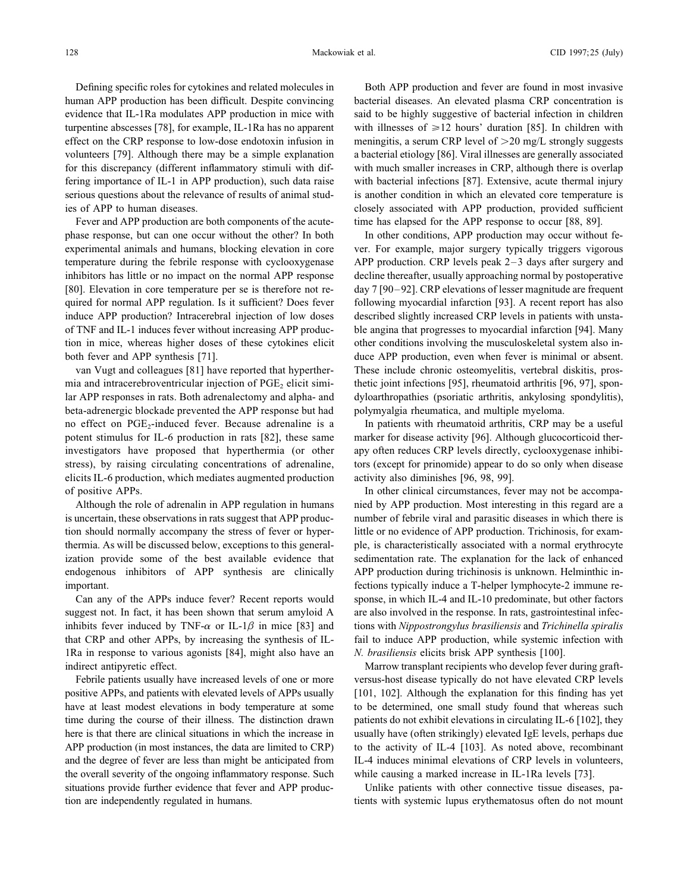human APP production has been difficult. Despite convincing bacterial diseases. An elevated plasma CRP concentration is evidence that IL-1Ra modulates APP production in mice with said to be highly suggestive of bacterial infection in children turpentine abscesses [78], for example, IL-1Ra has no apparent with illnesses of  $\geq 12$  hours' duration [85]. In children with effect on the CRP response to low-dose endotoxin infusion in meningitis, a serum CRP level of  $>20$  mg/L strongly suggests volunteers [79]. Although there may be a simple explanation a bacterial etiology [86]. Viral illnesses are generally associated for this discrepancy (different inflammatory stimuli with dif- with much smaller increases in CRP, although there is overlap fering importance of IL-1 in APP production), such data raise with bacterial infections [87]. Extensive, acute thermal injury serious questions about the relevance of results of animal stud- is another condition in which an elevated core temperature is ies of APP to human diseases. closely associated with APP production, provided sufficient

phase response, but can one occur without the other? In both In other conditions, APP production may occur without feexperimental animals and humans, blocking elevation in core ver. For example, major surgery typically triggers vigorous temperature during the febrile response with cyclooxygenase APP production. CRP levels peak 2–3 days after surgery and inhibitors has little or no impact on the normal APP response decline thereafter, usually approaching normal by postoperative [80]. Elevation in core temperature per se is therefore not re- day 7 [90–92]. CRP elevations of lesser magnitude are frequent quired for normal APP regulation. Is it sufficient? Does fever following myocardial infarction [93]. A recent report has also induce APP production? Intracerebral injection of low doses described slightly increased CRP levels in patients with unstaof TNF and IL-1 induces fever without increasing APP produc- ble angina that progresses to myocardial infarction [94]. Many tion in mice, whereas higher doses of these cytokines elicit other conditions involving the musculoskeletal system also inboth fever and APP synthesis [71]. duce APP production, even when fever is minimal or absent.

mia and intracerebroventricular injection of PGE<sub>2</sub> elicit simi-<br>thetic joint infections [95], rheumatoid arthritis [96, 97], sponlar APP responses in rats. Both adrenalectomy and alpha- and dyloarthropathies (psoriatic arthritis, ankylosing spondylitis), beta-adrenergic blockade prevented the APP response but had polymyalgia rheumatica, and multiple myeloma. no effect on PGE<sub>2</sub>-induced fever. Because adrenaline is a In patients with rheumatoid arthritis, CRP may be a useful potent stimulus for IL-6 production in rats [82], these same marker for disease activity [96]. Although glucocorticoid therinvestigators have proposed that hyperthermia (or other apy often reduces CRP levels directly, cyclooxygenase inhibistress), by raising circulating concentrations of adrenaline, tors (except for prinomide) appear to do so only when disease elicits IL-6 production, which mediates augmented production activity also diminishes [96, 98, 99]. of positive APPs. In other clinical circumstances, fever may not be accompa-

is uncertain, these observations in rats suggest that APP produc- number of febrile viral and parasitic diseases in which there is tion should normally accompany the stress of fever or hyper- little or no evidence of APP production. Trichinosis, for examthermia. As will be discussed below, exceptions to this general- ple, is characteristically associated with a normal erythrocyte ization provide some of the best available evidence that sedimentation rate. The explanation for the lack of enhanced endogenous inhibitors of APP synthesis are clinically APP production during trichinosis is unknown. Helminthic inimportant. fections typically induce a T-helper lymphocyte-2 immune re-

suggest not. In fact, it has been shown that serum amyloid A are also involved in the response. In rats, gastrointestinal infecinhibits fever induced by TNF- $\alpha$  or IL-1 $\beta$  in mice [83] and tions with *Nippostrongylus brasiliensis* and *Trichinella spiralis* that CRP and other APPs, by increasing the synthesis of IL- fail to induce APP production, while systemic infection with 1Ra in response to various agonists [84], might also have an *N. brasiliensis* elicits brisk APP synthesis [100]. indirect antipyretic effect. Marrow transplant recipients who develop fever during graft-

positive APPs, and patients with elevated levels of APPs usually [101, 102]. Although the explanation for this finding has yet have at least modest elevations in body temperature at some to be determined, one small study found that whereas such time during the course of their illness. The distinction drawn patients do not exhibit elevations in circulating IL-6 [102], they here is that there are clinical situations in which the increase in usually have (often strikingly) elevated IgE levels, perhaps due APP production (in most instances, the data are limited to CRP) to the activity of IL-4 [103]. As noted above, recombinant and the degree of fever are less than might be anticipated from IL-4 induces minimal elevations of CRP levels in volunteers, the overall severity of the ongoing inflammatory response. Such while causing a marked increase in IL-1Ra levels [73]. situations provide further evidence that fever and APP produc- Unlike patients with other connective tissue diseases, pa-

Defining specific roles for cytokines and related molecules in Both APP production and fever are found in most invasive Fever and APP production are both components of the acute-<br>time has elapsed for the APP response to occur [88, 89].

van Vugt and colleagues [81] have reported that hyperther- These include chronic osteomyelitis, vertebral diskitis, pros-

Although the role of adrenalin in APP regulation in humans nied by APP production. Most interesting in this regard are a Can any of the APPs induce fever? Recent reports would sponse, in which IL-4 and IL-10 predominate, but other factors

Febrile patients usually have increased levels of one or more versus-host disease typically do not have elevated CRP levels

tion are independently regulated in humans. tients with systemic lupus erythematosus often do not mount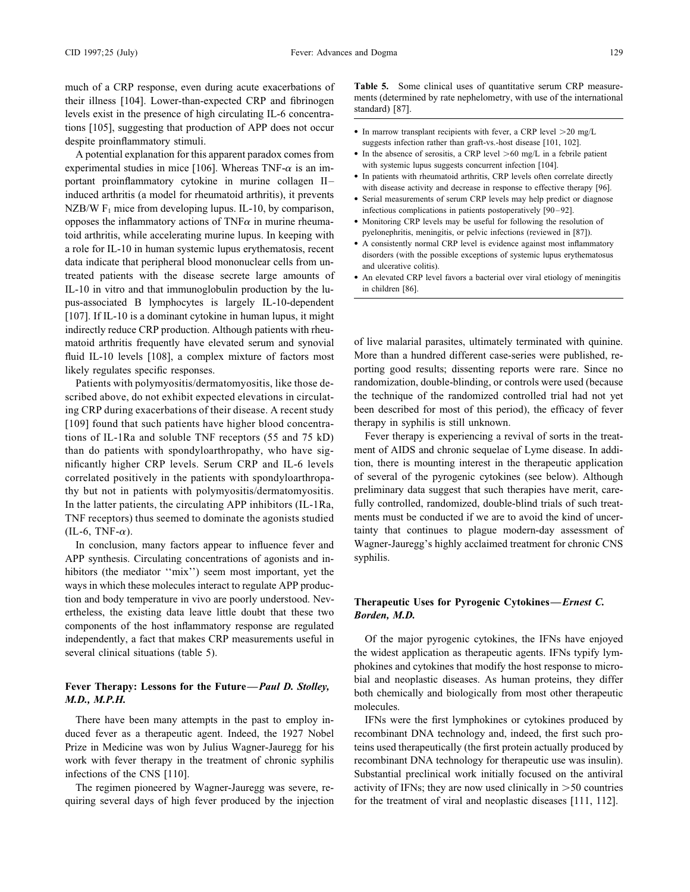much of a CRP response, even during acute exacerbations of<br>their illness [104] I ower-than-expected CRP and fibrinogen ments (determined by rate nephelometry, with use of the international their illness [104]. Lower-than-expected CRP and fibrinogen ments (determined intervalse exist in the presence of high circulating IL-6 concentra- $\frac{\text{standard}}{\text{[87]}}$ . tions [105], suggesting that production of APP does not occur • In marrow transplant recipients with fever, a CRP level  $>20$  mg/L despite proinflammatory stimuli.

A potential explanation for this apparent paradox comes from  $\bullet$  In the absence of serositis, a CRP level  $>60$  mg/L in a febrile patient nerimental studies in mice [106]. Whereas TNF- $\alpha$  is an im-<br>with systemic lupus s experimental studies in mice [106]. Whereas TNF- $\alpha$  is an im-<br>portant proinflammatory cytokine in murine collagen II-<br>induced arthritis (a model for rheumatoid arthritis), it prevents<br>in easurements of serum CRP levels m NZB/W F<sub>1</sub> mice from developing lupus. IL-10, by comparison, infectious complications in patients postoperatively [90–92]. opposes the inflammatory actions of  $TNF\alpha$  in murine rheuma- • Monitoring CRP levels may be useful for following the resolution of toid arthritis, while accelerating murine lupus. In keeping with<br>a role for IL-10 in human systemic lupus erythematosis, recent<br>data indicate that peripheral blood mononuclear cells from un-<br>disorders (with the possible ex treated patients with the disease secrete large amounts of • An elevated CRP level favors a bacterial over viral etiology of meningitis IL-10 in vitro and that immunoglobulin production by the lu- in children [86]. pus-associated B lymphocytes is largely IL-10-dependent [107]. If IL-10 is a dominant cytokine in human lupus, it might indirectly reduce CRP production. Although patients with rheumatoid arthritis frequently have elevated serum and synovial of live malarial parasites, ultimately terminated with quinine. fluid IL-10 levels [108], a complex mixture of factors most More than a hundred different case-series were published, relikely regulates specific responses. porting good results; dissenting reports were rare. Since no

scribed above, do not exhibit expected elevations in circulat-<br>the technique of the randomized controlled trial had not yet ing CRP during exacerbations of their disease. A recent study been described for most of this period), the efficacy of fever [109] found that such patients have higher blood concentra- therapy in syphilis is still unknown. tions of IL-1Ra and soluble TNF receptors (55 and 75 kD) Fever therapy is experiencing a revival of sorts in the treatthan do patients with spondyloarthropathy, who have sig- ment of AIDS and chronic sequelae of Lyme disease. In addinificantly higher CRP levels. Serum CRP and IL-6 levels tion, there is mounting interest in the therapeutic application correlated positively in the patients with spondyloarthropa- of several of the pyrogenic cytokines (see below). Although thy but not in patients with polymyositis/dermatomyositis. preliminary data suggest that such therapies have merit, care-In the latter patients, the circulating APP inhibitors (IL-1Ra, fully controlled, randomized, double-blind trials of such treat-TNF receptors) thus seemed to dominate the agonists studied ments must be conducted if we are to avoid the kind of uncer-  $(IL-6, TNF-\alpha)$ . tainty that continues to plague modern-day assessment of

APP synthesis. Circulating concentrations of agonists and in- syphilis. hibitors (the mediator "mix") seem most important, yet the ways in which these molecules interact to regulate APP production and body temperature in vivo are poorly understood. Nev- **Therapeutic Uses for Pyrogenic Cytokines—***Ernest C.* ertheless, the existing data leave little doubt that these two *Borden, M.D.* components of the host inflammatory response are regulated independently, a fact that makes CRP measurements useful in Of the major pyrogenic cytokines, the IFNs have enjoyed several clinical situations (table 5). the widest application as therapeutic agents. IFNs typify lym-

duced fever as a therapeutic agent. Indeed, the 1927 Nobel recombinant DNA technology and, indeed, the first such pro-Prize in Medicine was won by Julius Wagner-Jauregg for his teins used therapeutically (the first protein actually produced by work with fever therapy in the treatment of chronic syphilis recombinant DNA technology for therapeutic use was insulin). infections of the CNS [110]. Substantial preclinical work initially focused on the antiviral

quiring several days of high fever produced by the injection for the treatment of viral and neoplastic diseases [111, 112].

- suggests infection rather than graft-vs.-host disease [101, 102].
- 
- 
- 
- 
- 
- 

Patients with polymyositis/dermatomyositis, like those de- randomization, double-blinding, or controls were used (because

In conclusion, many factors appear to influence fever and Wagner-Jauregg's highly acclaimed treatment for chronic CNS

phokines and cytokines that modify the host response to micro-**Fever Therapy: Lessons for the Future—***Paul D. Stolley***,** bial and neoplastic diseases. As human proteins, they differ both chemically and biologically from most other therapeutic molecules.

There have been many attempts in the past to employ in- IFNs were the first lymphokines or cytokines produced by The regimen pioneered by Wagner-Jauregg was severe, re- activity of IFNs; they are now used clinically in  $>$ 50 countries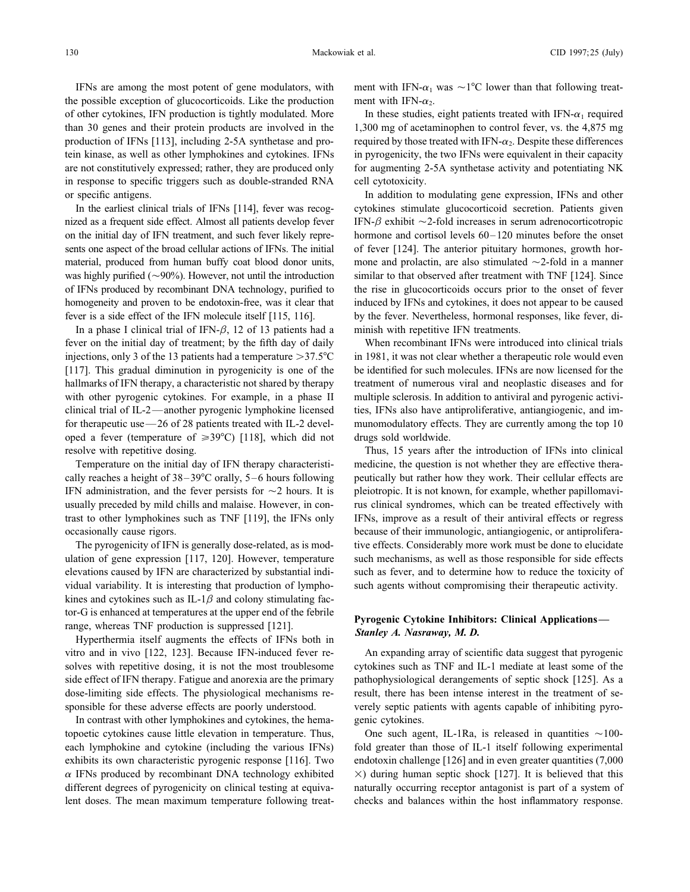IFNs are among the most potent of gene modulators, with ment with IFN- $\alpha_1$  was  $\sim$ 1°C lower than that following treatthe possible exception of glucocorticoids. Like the production ment with  $IFN-\alpha_2$ . tein kinase, as well as other lymphokines and cytokines. IFNs in pyrogenicity, the two IFNs were equivalent in their capacity in response to specific triggers such as double-stranded RNA cell cytotoxicity.

nized as a frequent side effect. Almost all patients develop fever IFN- $\beta$  exhibit  $\sim$ 2-fold increases in serum adrenocorticotropic on the initial day of IFN treatment, and such fever likely repre- hormone and cortisol levels 60–120 minutes before the onset sents one aspect of the broad cellular actions of IFNs. The initial of fever [124]. The anterior pituitary hormones, growth hormaterial, produced from human buffy coat blood donor units, mone and prolactin, are also stimulated  $\sim$ 2-fold in a manner was highly purified ( $\sim$ 90%). However, not until the introduction similar to that observed after treatment with TNF [124]. Since of IFNs produced by recombinant DNA technology, purified to the rise in glucocorticoids occurs prior to the onset of fever homogeneity and proven to be endotoxin-free, was it clear that induced by IFNs and cytokines, it does not appear to be caused

In a phase I clinical trial of IFN- $\beta$ , 12 of 13 patients had a minish with repetitive IFN treatments. fever on the initial day of treatment; by the fifth day of daily When recombinant IFNs were introduced into clinical trials injections, only 3 of the 13 patients had a temperature  $>37.5^{\circ}\text{C}$  in 1981, it was not clear whether a therapeutic role would even [117]. This gradual diminution in pyrogenicity is one of the be identified for such molecules. IFNs are now licensed for the hallmarks of IFN therapy, a characteristic not shared by therapy treatment of numerous viral and neoplastic diseases and for with other pyrogenic cytokines. For example, in a phase II multiple sclerosis. In addition to antiviral and pyrogenic activiclinical trial of IL-2—another pyrogenic lymphokine licensed ties, IFNs also have antiproliferative, antiangiogenic, and imfor therapeutic use—26 of 28 patients treated with IL-2 devel- munomodulatory effects. They are currently among the top 10 oped a fever (temperature of  $\geq 39^{\circ}$ C) [118], which did not drugs sold worldwide. resolve with repetitive dosing. Thus, 15 years after the introduction of IFNs into clinical

cally reaches a height of  $38-39^{\circ}$ C orally,  $5-6$  hours following peutically but rather how they work. Their cellular effects are IFN administration, and the fever persists for  $\sim$ 2 hours. It is pleiotropic. It is not known, for example, whether papillomaviusually preceded by mild chills and malaise. However, in con- rus clinical syndromes, which can be treated effectively with trast to other lymphokines such as TNF [119], the IFNs only IFNs, improve as a result of their antiviral effects or regress occasionally cause rigors. because of their immunologic, antiangiogenic, or antiprolifera-

ulation of gene expression [117, 120]. However, temperature such mechanisms, as well as those responsible for side effects elevations caused by IFN are characterized by substantial indi- such as fever, and to determine how to reduce the toxicity of vidual variability. It is interesting that production of lympho- such agents without compromising their therapeutic activity. kines and cytokines such as  $IL-1\beta$  and colony stimulating factor-G is enhanced at temperatures at the upper end of the febrile<br>range, whereas TNF production is suppressed [121].<br>Hyperthermia itself augments the effects of IFNs both in<br>*Stanley A. Nasraway, M. D.* 

vitro and in vivo [122, 123]. Because IFN-induced fever re- An expanding array of scientific data suggest that pyrogenic solves with repetitive dosing, it is not the most troublesome cytokines such as TNF and IL-1 mediate at least some of the side effect of IFN therapy. Fatigue and anorexia are the primary pathophysiological derangements of septic shock [125]. As a dose-limiting side effects. The physiological mechanisms re-<br>result, there has been intense interest in the treatment of sesponsible for these adverse effects are poorly understood. verely septic patients with agents capable of inhibiting pyro-

In contrast with other lymphokines and cytokines, the hema- genic cytokines. topoetic cytokines cause little elevation in temperature. Thus, One such agent, IL-1Ra, is released in quantities  $\sim$ 100each lymphokine and cytokine (including the various IFNs) fold greater than those of IL-1 itself following experimental exhibits its own characteristic pyrogenic response [116]. Two endotoxin challenge [126] and in even greater quantities (7,000  $\alpha$  IFNs produced by recombinant DNA technology exhibited  $\times$ ) during human septic shock [127]. It is believed that this different degrees of pyrogenicity on clinical testing at equiva-<br>
naturally occurring receptor antagonist is part of a system of

of other cytokines, IFN production is tightly modulated. More In these studies, eight patients treated with IFN- $\alpha_1$  required than 30 genes and their protein products are involved in the 1,300 mg of acetaminophen to control fever, vs. the 4,875 mg production of IFNs [113], including 2-5A synthetase and pro-<br>required by those treated with IFN- $\alpha_2$ . Despite these differences are not constitutively expressed; rather, they are produced only for augmenting 2-5A synthetase activity and potentiating NK

or specific antigens. In addition to modulating gene expression, IFNs and other In the earliest clinical trials of IFNs [114], fever was recog- cytokines stimulate glucocorticoid secretion. Patients given fever is a side effect of the IFN molecule itself [115, 116]. by the fever. Nevertheless, hormonal responses, like fever, di-

Temperature on the initial day of IFN therapy characteristi- medicine, the question is not whether they are effective thera-The pyrogenicity of IFN is generally dose-related, as is mod- tive effects. Considerably more work must be done to elucidate

lent doses. The mean maximum temperature following treat- checks and balances within the host inflammatory response.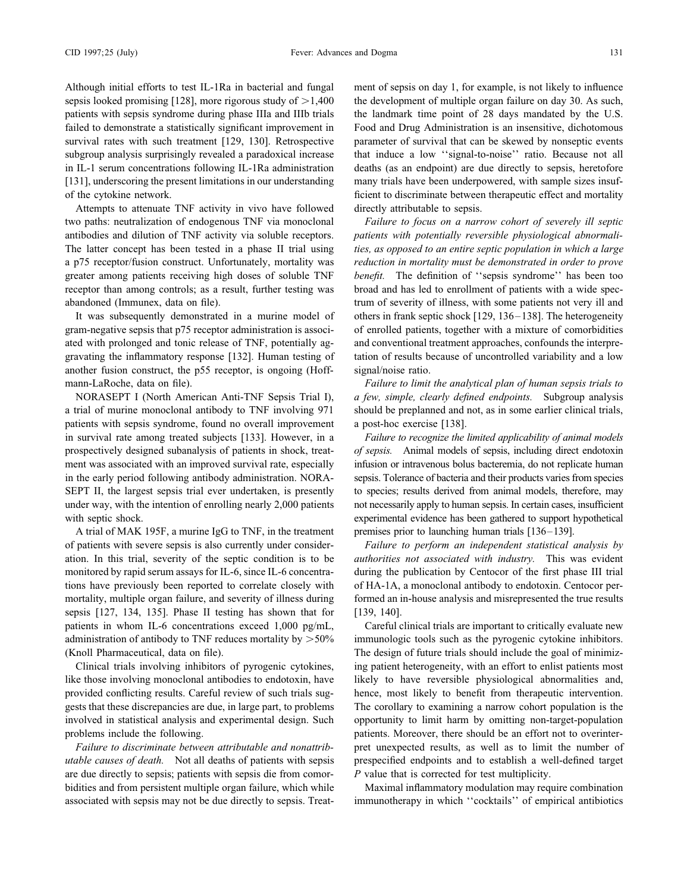sepsis looked promising [128], more rigorous study of  $>1,400$  the development of multiple organ failure on day 30. As such, patients with sepsis syndrome during phase IIIa and IIIb trials the landmark time point of 28 days mandated by the U.S. failed to demonstrate a statistically significant improvement in Food and Drug Administration is an insensitive, dichotomous survival rates with such treatment [129, 130]. Retrospective parameter of survival that can be skewed by nonseptic events subgroup analysis surprisingly revealed a paradoxical increase that induce a low ''signal-to-noise'' ratio. Because not all in IL-1 serum concentrations following IL-1Ra administration deaths (as an endpoint) are due directly to sepsis, heretofore [131], underscoring the present limitations in our understanding many trials have been underpowered, with sample sizes insuf-

Attempts to attenuate TNF activity in vivo have followed directly attributable to sepsis. two paths: neutralization of endogenous TNF via monoclonal *Failure to focus on a narrow cohort of severely ill septic* antibodies and dilution of TNF activity via soluble receptors. *patients with potentially reversible physiological abnormali-*The latter concept has been tested in a phase II trial using *ties, as opposed to an entire septic population in which a large* a p75 receptor/fusion construct. Unfortunately, mortality was *reduction in mortality must be demonstrated in order to prove* greater among patients receiving high doses of soluble TNF *benefit.* The definition of ''sepsis syndrome'' has been too receptor than among controls; as a result, further testing was broad and has led to enrollment of patients with a wide specabandoned (Immunex, data on file). trum of severity of illness, with some patients not very ill and

gram-negative sepsis that p75 receptor administration is associ- of enrolled patients, together with a mixture of comorbidities ated with prolonged and tonic release of TNF, potentially ag- and conventional treatment approaches, confounds the interpregravating the inflammatory response [132]. Human testing of tation of results because of uncontrolled variability and a low another fusion construct, the p55 receptor, is ongoing (Hoff- signal/noise ratio. mann-LaRoche, data on file). *Failure to limit the analytical plan of human sepsis trials to*

a trial of murine monoclonal antibody to TNF involving 971 should be preplanned and not, as in some earlier clinical trials, patients with sepsis syndrome, found no overall improvement a post-hoc exercise [138]. in survival rate among treated subjects [133]. However, in a *Failure to recognize the limited applicability of animal models* prospectively designed subanalysis of patients in shock, treat- *of sepsis.* Animal models of sepsis, including direct endotoxin ment was associated with an improved survival rate, especially infusion or intravenous bolus bacteremia, do not replicate human in the early period following antibody administration. NORA- sepsis. Tolerance of bacteria and their products varies from species SEPT II, the largest sepsis trial ever undertaken, is presently to species; results derived from animal models, therefore, may under way, with the intention of enrolling nearly 2,000 patients not necessarily apply to human sepsis. In certain cases, insufficient with septic shock. experimental evidence has been gathered to support hypothetical

A trial of MAK 195F, a murine IgG to TNF, in the treatment premises prior to launching human trials [136–139]. of patients with severe sepsis is also currently under consider- *Failure to perform an independent statistical analysis by* ation. In this trial, severity of the septic condition is to be *authorities not associated with industry.* This was evident monitored by rapid serum assays for IL-6, since IL-6 concentra- during the publication by Centocor of the first phase III trial tions have previously been reported to correlate closely with of HA-1A, a monoclonal antibody to endotoxin. Centocor permortality, multiple organ failure, and severity of illness during formed an in-house analysis and misrepresented the true results sepsis [127, 134, 135]. Phase II testing has shown that for [139, 140]. patients in whom IL-6 concentrations exceed 1,000 pg/mL, Careful clinical trials are important to critically evaluate new administration of antibody to TNF reduces mortality by  $>50\%$  immunologic tools such as the pyrogenic cytokine inhibitors. (Knoll Pharmaceutical, data on file). The design of future trials should include the goal of minimiz-

*utable causes of death.* Not all deaths of patients with sepsis prespecified endpoints and to establish a well-defined target are due directly to sepsis; patients with sepsis die from comor- *P* value that is corrected for test multiplicity. bidities and from persistent multiple organ failure, which while Maximal inflammatory modulation may require combination

Although initial efforts to test IL-1Ra in bacterial and fungal ment of sepsis on day 1, for example, is not likely to influence of the cytokine network. ficient to discriminate between therapeutic effect and mortality

It was subsequently demonstrated in a murine model of others in frank septic shock [129, 136–138]. The heterogeneity

NORASEPT I (North American Anti-TNF Sepsis Trial I), *a few, simple, clearly defined endpoints.* Subgroup analysis

Clinical trials involving inhibitors of pyrogenic cytokines, ing patient heterogeneity, with an effort to enlist patients most like those involving monoclonal antibodies to endotoxin, have likely to have reversible physiological abnormalities and, provided conflicting results. Careful review of such trials sug- hence, most likely to benefit from therapeutic intervention. gests that these discrepancies are due, in large part, to problems The corollary to examining a narrow cohort population is the involved in statistical analysis and experimental design. Such opportunity to limit harm by omitting non-target-population problems include the following. patients. Moreover, there should be an effort not to overinter-*Failure to discriminate between attributable and nonattrib-* pret unexpected results, as well as to limit the number of

associated with sepsis may not be due directly to sepsis. Treat- immunotherapy in which ''cocktails'' of empirical antibiotics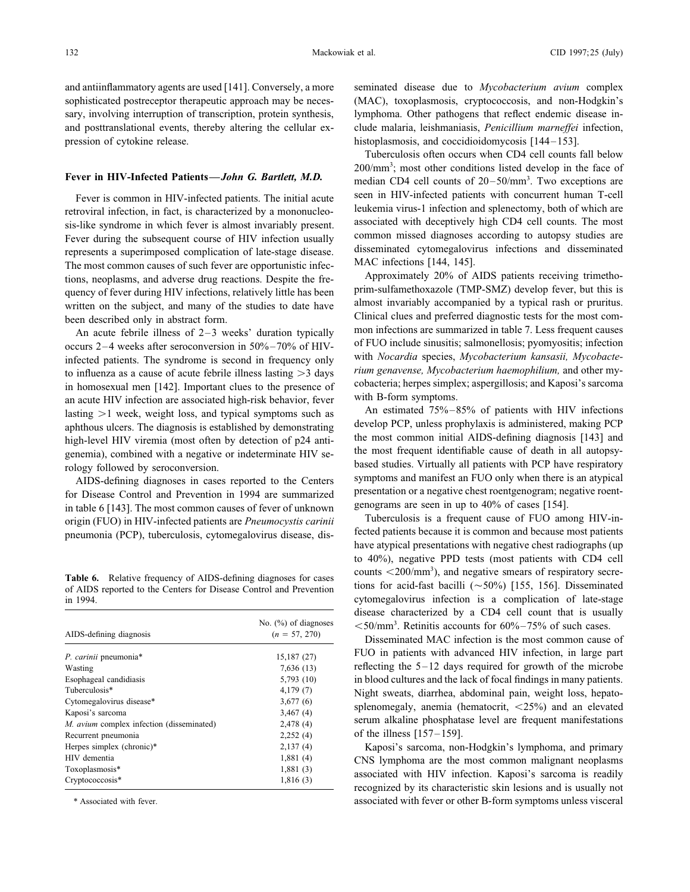sophisticated postreceptor therapeutic approach may be neces- (MAC), toxoplasmosis, cryptococcosis, and non-Hodgkin's sary, involving interruption of transcription, protein synthesis, lymphoma. Other pathogens that reflect endemic disease inand posttranslational events, thereby altering the cellular ex- clude malaria, leishmaniasis, *Penicillium marneffei* infection, pression of cytokine release. histoplasmosis, and coccidioidomycosis [144–153].

retroviral infection, in fact, is characterized by a mononucleosis-like syndrome in which fever is almost invariably present. associated with deceptively high CD4 cell counts. The most Fever during the subsequent course of HIV infection usually common missed diagnoses according to aut Fever during the subsequent course of HIV infection usually<br>represents a superimposed complication of late-stage disease<br>disseminated cytomegalovirus infections and disseminated represents a superimposed complication of late-stage disease. disseminated cytomegalovirus The most common causes of such fever are opportunistic infections [144, 145]. The most common causes of such fever are opportunistic infec-<br>tions neonlasms, and adverse drug reactions. Despite the fre-<br>Approximately 20% of AIDS patients receiving trimethotions, neoplasms, and adverse drug reactions. Despite the fre-<br>
Approximately 20% of AIDS patients receiving trimetho-<br>
prim-sulfamethoxazole (TMP-SMZ) develop fever, but this is quency of fever during HIV infections, relatively little has been prim-sulfamethoxazole (TMP-SMZ) develop fever, but this is<br>written on the subject and many of the studies to date have almost invariably accompanied by a ty written on the subject, and many of the studies to date have

occurs 2–4 weeks after seroconversion in 50%–70% of HIV-<br>infected patients. The syndrome is second in frequency only with *Nocardia* species, *Mycobacterium kansasii, Mycobacte*infected patients. The syndrome is second in frequency only to influenza as a cause of acute febrile illness lasting >3 days rium genavense, Mycobacterium haemophilium, and other myin homosexual men [142]. Important clues to the presence of cobacteria; herpes simplex; aspergillosis; and Kaposi's sarcoma an acute HIV infection are associated high-risk behavior fever with B-form symptoms. an acute HIV infection are associated high-risk behavior, fever with B-form symptoms.<br>
An estimated  $75\% - 85\%$  of patients with HIV infections  $\frac{\text{A}_n}{\text{A}_n}$  and typical symptoms such as  $\frac{\text{A}_n}{\text{A}_n}$  estimated 75%–85% of patients with HIV infections appropriation and typical symptoms such as  $\frac{\text{A}_n}{\text{A}_n}$  evelop PCP, unless prophylaxis is administ aphthous ulcers. The diagnosis is established by demonstrating develop PCP, unless prophylaxis is administered, making PCP high-level HIV viremia (most often by detection of p24 anti-<br>the most common initial AIDS-defining high-level HIV viremia (most often by detection of p24 antigenemia), combined with a negative or indeterminate HIV se-<br>the most frequent identifiable cause of death in all autopsybased studies. Virtually all patients with PCP have respiratory rology followed by seroconversion.

for Disease Control and Prevention in 1994 are summarized presentation or a negative chest roentgenogram; ne<br>in table 6.1431 The most common causes of fever of unknown genograms are seen in up to 40% of cases [154]. in table 6 [143]. The most common causes of fever of unknown genograms are seen in up to 40% of cases [154].<br>origin (FUO) in HIV-infected patients are *Pneumocystis carinii* Tuberculosis is a frequent cause of FUO among H origin (FUO) in HIV-infected patients are *Pneumocystis carinii* pneumonia (PCP), tuberculosis, cytomegalovirus disease, dis-<br>fected patients because it is common and because most patients

in 1994. cytomegalovirus infection is a complication of late-stage

| AIDS-defining diagnosis                   | No. $(\%)$ of diagnoses<br>$(n = 57, 270)$ |
|-------------------------------------------|--------------------------------------------|
| P. carinii pneumonia*                     | 15,187 (27)                                |
| Wasting                                   | 7,636(13)                                  |
| Esophageal candidiasis                    | 5,793 (10)                                 |
| Tuberculosis*                             | 4,179(7)                                   |
| Cytomegalovirus disease*                  | 3,677(6)                                   |
| Kaposi's sarcoma                          | 3,467(4)                                   |
| M. avium complex infection (disseminated) | 2,478(4)                                   |
| Recurrent pneumonia                       | 2,252(4)                                   |
| Herpes simplex (chronic)*                 | 2,137(4)                                   |
| HIV dementia                              | 1,881(4)                                   |
| Toxoplasmosis*                            | 1,881(3)                                   |
| Cryptococcosis*                           | 1,816(3)                                   |

and antiinflammatory agents are used [141]. Conversely, a more seminated disease due to *Mycobacterium avium* complex

Tuberculosis often occurs when CD4 cell counts fall below 200/mm<sup>3</sup>; most other conditions listed develop in the face of **Fever in HIV-Infected Patients—***John G. Bartlett, M.D.* 200/mm<sup>3</sup>; most other conditions listed develop in the face of median CD4 cell counts of 20–50/mm<sup>3</sup>. Two exceptions are Fever is common in HIV-infected patients. The initial acute seen in HIV-infected patients with concurrent human T-cell<br>
reviral infection in fect is characterized by a monopucleo. leukemia virus-1 infection and splenectomy

been described only in abstract form.<br>An acute febrile illness of  $2-3$  weeks' duration typically mon infections are summarized in table 7. Less frequent causes An acute febrile illness of  $2-3$  weeks' duration typically mon infections are summarized in table 7. Less frequent causes<br>curs  $2-4$  weeks after seroconversion in 50%–70% of HIV- of FUO include sinusitis; salmonellosis;

AIDS-defining diagnoses in cases reported to the Centers symptoms and manifest an FUO only when there is an atypical<br>r Disease Control and Prevention in 1994 are summarized presentation or a negative chest roentgenogram; n

have atypical presentations with negative chest radiographs (up to 40%), negative PPD tests (most patients with CD4 cell counts  $\langle 200/\text{mm}^3 \rangle$ , and negative smears of respiratory secre-**Table 6.** Relative frequency of AIDS-defining diagnoses for cases<br>of AIDS reported to the Centers for Disease Control and Prevention<br>tions for acid-fast bacilli ( $\sim$ 50%) [155, 156]. Disseminated disease characterized by a CD4 cell count that is usually No. (%) of diagnoses  $\leq 50/\text{mm}^3$ . Retinitis accounts for  $60\% - 75\%$  of such cases.

> Disseminated MAC infection is the most common cause of FUO in patients with advanced HIV infection, in large part reflecting the  $5-12$  days required for growth of the microbe in blood cultures and the lack of focal findings in many patients. Night sweats, diarrhea, abdominal pain, weight loss, hepato-splenomegaly, anemia (hematocrit,  $\langle 25\% \rangle$ ) and an elevated *serum alkaline phosphatase level are frequent manifestations* of the illness  $[157-159]$ .

Kaposi's sarcoma, non-Hodgkin's lymphoma, and primary CNS lymphoma are the most common malignant neoplasms<br>associated with HIV infection. Kaposi's sarcoma is readily<br>recognized by its characteristic skin lesions and is usually not \* Associated with fever. associated with fever or other B-form symptoms unless visceral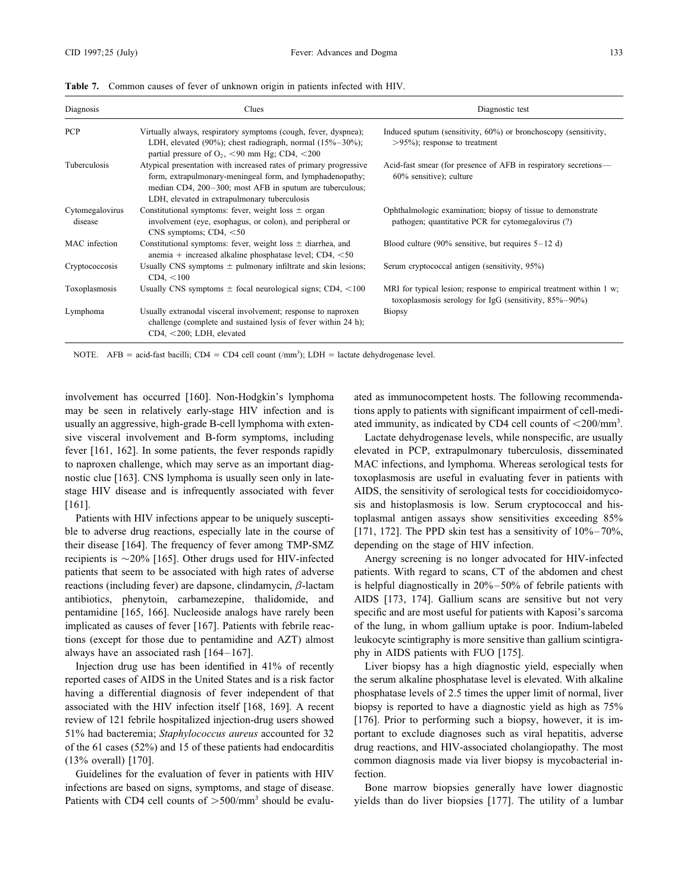| Diagnosis                  | Clues                                                                                                                                                                                                                                      | Diagnostic test                                                                                                                     |
|----------------------------|--------------------------------------------------------------------------------------------------------------------------------------------------------------------------------------------------------------------------------------------|-------------------------------------------------------------------------------------------------------------------------------------|
| <b>PCP</b>                 | Virtually always, respiratory symptoms (cough, fever, dyspnea);<br>LDH, elevated $(90\%)$ ; chest radiograph, normal $(15\%-30\%)$ ;<br>partial pressure of $O_2$ , <90 mm Hg; CD4, <200                                                   | Induced sputum (sensitivity, 60%) or bronchoscopy (sensitivity,<br>$>95\%$ ; response to treatment                                  |
| Tuberculosis               | Atypical presentation with increased rates of primary progressive<br>form, extrapulmonary-meningeal form, and lymphadenopathy;<br>median CD4, 200–300; most AFB in sputum are tuberculous;<br>LDH, elevated in extrapulmonary tuberculosis | Acid-fast smear (for presence of AFB in respiratory secretions—<br>$60\%$ sensitive); culture                                       |
| Cytomegalovirus<br>disease | Constitutional symptoms: fever, weight loss $\pm$ organ<br>involvement (eye, esophagus, or colon), and peripheral or<br>CNS symptoms; $CD4, < 50$                                                                                          | Ophthalmologic examination; biopsy of tissue to demonstrate<br>pathogen; quantitative PCR for cytomegalovirus (?)                   |
| MAC infection              | Constitutional symptoms: fever, weight loss $\pm$ diarrhea, and<br>anemia + increased alkaline phosphatase level; $CD4, < 50$                                                                                                              | Blood culture (90% sensitive, but requires $5-12$ d)                                                                                |
| Cryptococcosis             | Usually CNS symptoms $\pm$ pulmonary infiltrate and skin lesions;<br>CD4, <100                                                                                                                                                             | Serum cryptococcal antigen (sensitivity, 95%)                                                                                       |
| Toxoplasmosis              | Usually CNS symptoms $\pm$ focal neurological signs; CD4, <100                                                                                                                                                                             | MRI for typical lesion; response to empirical treatment within 1 w;<br>toxoplasmosis serology for IgG (sensitivity, $85\% - 90\%$ ) |
| Lymphoma                   | Usually extranodal visceral involvement; response to naproxen<br>challenge (complete and sustained lysis of fever within 24 h);<br>$CD4, <200$ ; LDH, elevated                                                                             | <b>Biopsy</b>                                                                                                                       |

**Table 7.** Common causes of fever of unknown origin in patients infected with HIV.

NOTE. AFB = acid-fast bacilli;  $CD4 = CD4$  cell count (/mm<sup>3</sup>);  $LDH =$  lactate dehydrogenase level.

may be seen in relatively early-stage HIV infection and is tions apply to patients with significant impairment of cell-mediusually an aggressive, high-grade B-cell lymphoma with extensive visceral involvement and B-form symptoms, including Lactate dehydrogenase levels, while nonspecific, are usually fever [161, 162]. In some patients, the fever responds rapidly elevated in PCP, extrapulmonary tuberculosis, disseminated to naproxen challenge, which may serve as an important diag-<br>MAC infections, and lymphoma. Whereas serological tests for nostic clue [163]. CNS lymphoma is usually seen only in late- toxoplasmosis are useful in evaluating fever in patients with stage HIV disease and is infrequently associated with fever AIDS, the sensitivity of serological tests for coccidioidomyco- [161]. sis and histoplasmosis is low. Serum cryptococcal and his-

ble to adverse drug reactions, especially late in the course of [171, 172]. The PPD skin test has a sensitivity of  $10\% - 70\%$ , their disease [164]. The frequency of fever among TMP-SMZ depending on the stage of HIV infection. recipients is  $\sim$  20% [165]. Other drugs used for HIV-infected Anergy screening is no longer advocated for HIV-infected patients that seem to be associated with high rates of adverse patients. With regard to scans, CT of the abdomen and chest reactions (including fever) are dapsone, clindamycin,  $\beta$ -lactam is helpful diagnostically in 20%–50% of febrile patients with antibiotics, phenytoin, carbamezepine, thalidomide, and AIDS [173, 174]. Gallium scans are sensitive but not very pentamidine [165, 166]. Nucleoside analogs have rarely been specific and are most useful for patients with Kaposi's sarcoma implicated as causes of fever [167]. Patients with febrile reac- of the lung, in whom gallium uptake is poor. Indium-labeled tions (except for those due to pentamidine and AZT) almost leukocyte scintigraphy is more sensitive than gallium scintigraalways have an associated rash  $[164–167]$ . phy in AIDS patients with FUO [175].

reported cases of AIDS in the United States and is a risk factor the serum alkaline phosphatase level is elevated. With alkaline having a differential diagnosis of fever independent of that phosphatase levels of 2.5 times the upper limit of normal, liver associated with the HIV infection itself [168, 169]. A recent biopsy is reported to have a diagnostic yield as high as 75% review of 121 febrile hospitalized injection-drug users showed [176]. Prior to performing such a biopsy, however, it is im-51% had bacteremia; *Staphylococcus aureus* accounted for 32 portant to exclude diagnoses such as viral hepatitis, adverse of the 61 cases (52%) and 15 of these patients had endocarditis drug reactions, and HIV-associated cholangiopathy. The most (13% overall) [170]. common diagnosis made via liver biopsy is mycobacterial in-

Guidelines for the evaluation of fever in patients with HIV fection. infections are based on signs, symptoms, and stage of disease. Bone marrow biopsies generally have lower diagnostic

involvement has occurred [160]. Non-Hodgkin's lymphoma ated as immunocompetent hosts. The following recommendaated immunity, as indicated by CD4 cell counts of  $\langle 200/mm^3 \rangle$ .

Patients with HIV infections appear to be uniquely suscepti-<br>toplasmal antigen assays show sensitivities exceeding 85%

Injection drug use has been identified in 41% of recently Liver biopsy has a high diagnostic yield, especially when

Patients with CD4 cell counts of  $>500/\text{mm}^3$  should be evalu-<br>yields than do liver biopsies [177]. The utility of a lumbar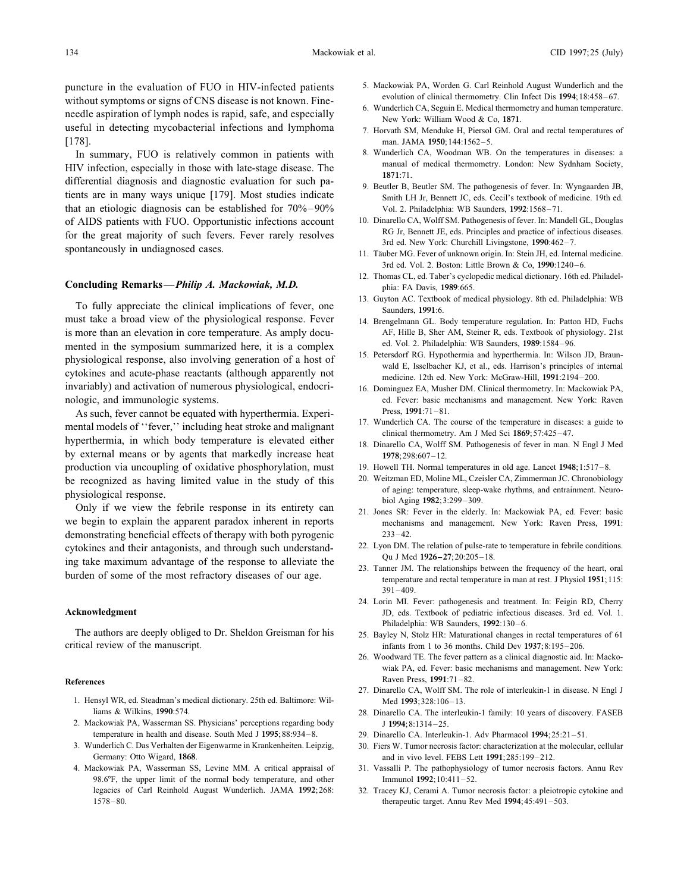puncture in the evaluation of FUO in HIV-infected patients 5. Mackowiak PA, Worden G. Carl Reinhold August Wunderlich and the evaluation of clinical thermometry. Clin Infect Dis 1994; 18:458-67. without symptoms or signs of CNS disease is not known. Fine-<br>needle aspiration of lymph nodes is rapid, safe, and especially<br>useful in detecting mycobacterial infections and lymphoma<br>and represents the Menduke H Piersol GM [178]. man. JAMA **1950**;144:1562–5.

HIV infection, especially in those with late-stage disease. The<br>differential diagnosis and diagnostic evaluation for such pa-<br>9. Beutler B, Beutler SM. The pathogenesis of fever. In: Wyngaarden JB, tients are in many ways unique [179]. Most studies indicate Smith LH Jr, Bennett JC, eds. Cecil's textbook of medicine. 19th ed. that an etiologic diagnosis can be established for 70%–90% Vol. 2. Philadelphia: WB Saunders, **1992**:1568–71. of AIDS patients with FUO. Opportunistic infections account 10. Dinarello CA, Wolff SM. Pathogenesis of fever. In: Mandell GL, Douglas<br>
RG Jr, Bennett JE, eds. Principles and practice of infectious diseases. for the great majority of such fevers. Fever rarely resolves<br>spontaneously in undiagnosed cases.<br>11. Täuber MG. Fever of unknown origin. In: Stein JH, ed. Internal medicine.

## **Concluding Remarks—***Philip A. Mackowiak, M.D.* phia: FA Davis, 1989:665.

must take a broad view of the physiological response. Fever 14. Brengelmann GL. Body temperature regulation. In: Patton HD, Fuchs is more than an elevation in core temperature. As amply docu-<br>AF, Hille B, Sher AM, Steiner R, eds. Textbook of physiology. 21st mented in the symposium summarized here, it is a complex ed. Vol. 2. Philadelphia: WB Saunders, 1989:1584–96.<br> **15.** Petersdorf RG. Hypothermia and hyperthermia. In: Wilson JD, Braunphysiological response, also involving generation of a host of<br>cytokines and acute-phase reactants (although apparently not<br>edicine. 12th ed. New York: McGraw-Hill, 1991:2194-200. invariably) and activation of numerous physiological, endocri- 16. Dominguez EA, Musher DM. Clinical thermometry. In: Mackowiak PA,

As such, fever cannot be equated with hyperthermia. Experi-<br>
<sup>Press, 1991:71–81.</sup><br>
<sup>17</sup>. Wunderlich CA. The course of the temperature in diseases: a guide to mental models of "fever," including heat stroke and malignant<br>hyperthermia, in which body temperature is elevated either and malignant<br>hyperthermia, in which body temperature is elevated either and Discount of the M. Patho by external means or by agents that markedly increase heat **1978**;298:607–12. production via uncoupling of oxidative phosphorylation, must 19. Howell TH. Normal temperatures in old age. Lancet **1948**;1:517–8.

we begin to explain the apparent paradox inherent in reports mechanisms and management. New York: Raven Press, **1991**: demonstrating beneficial effects of therapy with both pyrogenic 233–42.<br>
cytokines and their antagonists, and through such understand-<br>
22. Lyon DM. The relation of pulse-rate to temperature in febrile conditions. cytokines and their antagonists, and through such understand-<br>ing take maximum advantage of the response to alleviate the<br>burden of some of the most refractory diseases of our age.<br>burden of some of the most refractory dis

The authors are deeply obliged to Dr. Sheldon Greisman for his 25. Bayley N, Stolz HR: Maturational changes in rectal temperatures of 61 critical review of the manuscript. infants from 1 to 36 months. Child Dev **1937**;8:195–206.

- 1. Hensyl WR, ed. Steadman's medical dictionary. 25th ed. Baltimore: Wil- Med **1993**;328:106–13. liams & Wilkins, **1990**:574. 28. Dinarello CA. The interleukin-1 family: 10 years of discovery. FASEB
- 2. Mackowiak PA, Wasserman SS. Physicians' perceptions regarding body J **1994**;8:1314–25. temperature in health and disease. South Med J **1995**;88:934–8. 29. Dinarello CA. Interleukin-1. Adv Pharmacol **1994**;25:21–51.
- 3. Wunderlich C. Das Verhalten der Eigenwarme in Krankenheiten. Leipzig, 30. Fiers W. Tumor necrosis factor: characterization at the molecular, cellular Germany: Otto Wigard, **1868**. and in vivo level. FEBS Lett **1991**;285:199–212.
- 98.67F, the upper limit of the normal body temperature, and other Immunol **1992**;10:411–52. legacies of Carl Reinhold August Wunderlich. JAMA **1992**;268: 32. Tracey KJ, Cerami A. Tumor necrosis factor: a pleiotropic cytokine and 1578–80. therapeutic target. Annu Rev Med **1994**;45:491–503.
- 
- 
- 7. Horvath SM, Menduke H, Piersol GM. Oral and rectal temperatures of
- In summary, FUO is relatively common in patients with 8. Wunderlich CA, Woodman WB. On the temperatures in diseases: a In summary, FUO is relatively common in patients with 8. Wunderlich CA, Woodman WB. On the temperatures
	-
	-
	- 3rd ed. Vol. 2. Boston: Little Brown & Co, **1990**:1240–6.
	- 12. Thomas CL, ed. Taber's cyclopedic medical dictionary. 16th ed. Philadel-
- 13. Guyton AC. Textbook of medical physiology. 8th ed. Philadelphia: WB To fully appreciate the clinical implications of fever, one Saunders, **<sup>1991</sup>**:6.
	-
	-
- nologic, and immunologic systems.<br>
As such fever cannot be equated with hyperthermia Experi-<br>
Press, 1991:71-81.
	-
	-
	-
- be recognized as having limited value in the study of this <sup>20.</sup> Weitzman ED, Moline ML, Czeisler CA, Zimmerman JC. Chronobiology<br>physiological response.<br>Only if we view the febrile response in its entirety can<br>Only if we
	-
	-
	- $391 409$ .
- 24. Lorin MI. Fever: pathogenesis and treatment. In: Feigin RD, Cherry **Acknowledgment** JD, eds. Textbook of pediatric infectious diseases. 3rd ed. Vol. 1. Philadelphia: WB Saunders, **1992**:130–6.
	-
- 26. Woodward TE. The fever pattern as a clinical diagnostic aid. In: Mackowiak PA, ed. Fever: basic mechanisms and management. New York: **References** Raven Press, **1991**:71–82.
	- 27. Dinarello CA, Wolff SM. The role of interleukin-1 in disease. N Engl J
	-
	-
	-
	- 4. Mackowiak PA, Wasserman SS, Levine MM. A critical appraisal of 31. Vassalli P. The pathophysiology of tumor necrosis factors. Annu Rev
		-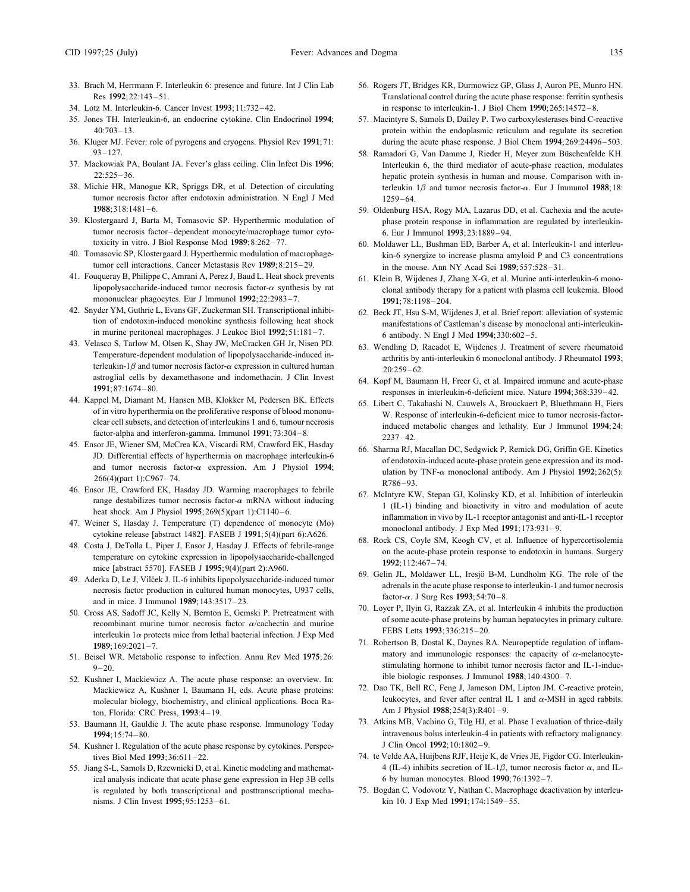- 33. Brach M, Herrmann F. Interleukin 6: presence and future. Int J Clin Lab 56. Rogers JT, Bridges KR, Durmowicz GP, Glass J, Auron PE, Munro HN.
- 
- 
- 93–127. S8. Ramadori G, Van Damme J, Rieder H, Meyer zum Büschenfelde KH.
- 
- tumor necrosis factor after endotoxin administration. N Engl J Med 1259-64. **1988**;318:1481–6. 59. Oldenburg HSA, Rogy MA, Lazarus DD, et al. Cachexia and the acute-
- tumor necrosis factor–dependent monocyte/macrophage tumor cyto- 6. Eur J Immunol **1993**;23:1889–94. toxicity in vitro. J Biol Response Mod 1989;8:262-77. 60. Moldawer LL, Bushman ED, Barber A, et al. Interleukin-1 and interleu-
- 40. Tomasovic SP, Klostergaard J. Hyperthermic modulation of macrophage-<br>
tumor cell interactions. Cancer Metastasis Rev 1989: 8:215-29.<br>
in the mouse Ann NV Aced Sci 1989: 557:528-21
- uqueray B, Philippe C, Amrani A, Perez J, Baud L. Heat shock prevents 61. Klein B, Wijdenes J, Zhang X-G, et al. Murine anti-interleukin-6 mono-<br>clonal antibody therany for a patient with plasma cell leukemia. Blood
- mononuclear phagocytes. Eur J Immunol **1992**;22:2983–7. **1991**;78:1198–204.<br>42. Snyder YM, Guthrie L, Evans GF, Zuckerman SH. Transcriptional inhibi-<br>62. Reck IT, Hsu S-M, Wi yder YM, Guthrie L, Evans GF, Zuckerman SH. Transcriptional inhibi-<br>
tion of endotoxin-induced monokine synthesis following heat shock<br>
manifestations of Castleman's disease by monoclonal anti-interleukinin murine peritoneal macrophages. J Leukoc Biol 1992;51:181–7. 6 antibody. N Engl J Med 1994;330:602–5.<br>43. Velasco S, Tarlow M, Olsen K, Shay JW, McCracken GH Jr, Nisen PD. 63. Wendling D. Racadot F. Wiidenes J. Treatme
- terleukin-1 $\beta$  and tumor necrosis factor- $\alpha$  expression in cultured human 20:259–62.<br>astroglial cells by dexamethasone and indomethacin. J Clin Invest 64 Konf M Baum
- 
- 
- 
- 
- 
- 
- FEBS Letts 1993;336:215–20.<br>
interleukin 1 $\alpha$  protects mice from lethal bacterial infection. J Exp Med<br> **1989**; 169:2021–7.<br> **1989**; 169:2021–7.<br> **1989**; 169:2021–7.<br> **1989**; 169:2021–7.<br> **1989**; 169:2021–7.<br> **1989**; 169
- 51. Beisel WR. Metabolic response to infection. Annu Rev Med 1975;26:
- 52. Kushner I, Mackiewicz A. The acute phase response: an overview. In: molecular biology, biochemistry, and clinical applications. Boca Ra-<br>
1 and J Physiol 1988;254(3):R401-9.<br>
2 Am J Physiol 1988;254(3):R401-9. ton, Florida: CRC Press, 1993:4–19.<br>https://do. Am J Physiol 1988;254(3):R401–9.<br>umann H. Gauldie J. The acute phase response. Immunology Today 73. Atkins MB, Vachino G, Tilg HJ, et al. Phase I evaluation of thrice-daily
- 53. Baumann H, Gauldie J. The acute phase response. Immunology Today
- 54. Kushner I. Regulation of the acute phase response by cytokines. Perspec- J Clin Oncol **1992**;10:1802–9.
- 55. Jiang S-L, Samols D, Rzewnicki D, et al. Kinetic modeling and mathematical analysis indicate that acute phase gene expression in Hep 3B cells 6 by human monocytes. Blood **1990**;76:1392–7. is regulated by both transcriptional and posttranscriptional mecha- 75. Bogdan C, Vodovotz Y, Nathan C. Macrophage deactivation by interleunisms. J Clin Invest **1995**;95:1253–61. kin 10. J Exp Med **1991**;174:1549–55.
- Res 1992; 22:143–51. Translational control during the acute phase response: ferritin synthesis 34. Lotz M. Interleukin-6. Cancer Invest **1993**;11:732–42. in response to interleukin-1. J Biol Chem **1990**;265:14572–8.
- 35. Jones TH. Interleukin-6, an endocrine cytokine. Clin Endocrinol **1994**; 57. Macintyre S, Samols D, Dailey P. Two carboxylesterases bind C-reactive 40:703–13. protein within the endoplasmic reticulum and regulate its secretion 36. Kluger MJ. Fever: role of pyrogens and cryogens. Physiol Rev **1991**;71: during the acute phase response. J Biol Chem **1994**;269:24496–503.
- 37. Mackowiak PA, Boulant JA. Fever's glass ceiling. Clin Infect Dis **1996**; Interleukin 6, the third mediator of acute-phase reaction, modulates 22:525–36. hepatic protein synthesis in human and mouse. Comparison with in-38. Michie HR, Manogue KR, Spriggs DR, et al. Detection of circulating terleukin 1 $\beta$  and tumor necrosis factor- $\alpha$ . Eur J Immunol 1988;18:
- 39. Klostergaard J, Barta M, Tomasovic SP. Hyperthermic modulation of phase protein response in inflammation are regulated by interleukin-
- tumor cell interactions. Cancer Metastasis Rev 1989;8:215–29. in the mouse. Ann NY Acad Sci 1989;557:528–31.<br>41. Fouqueray B, Philippe C, Amrani A, Perez J, Baud L. Heat shock prevents 61 Klein B, Widenes J, Zhang X-G, et
	- clonal antibody therapy for a patient with plasma cell leukemia. Blood
	- manifestations of Castleman's disease by monoclonal anti-interleukin-
	- elasco S, Tarlow M, Olsen K, Shay JW, McCracken GH Jr, Nisen PD. 63. Wendling D, Racadot E, Wijdenes J. Treatment of severe rheumatoid<br>
	arthritis by anti-interleukin 6 monoclonal antibody. I Rheumatol 1993. arthritis by anti-interleukin 6 monoclonal antibody. J Rheumatol 1993;
- astrogiial cells by dexamethasone and indomethacin. J Clin Invest 64. Kopf M, Baumann H, Freer G, et al. Impaired immune and acute-phase<br>1991;87:1674–80. esponses in interleukin-6-deficient mice. Nature 1994;368:339–42.<br>44
- 44. Kappel M, Diamant M, Hansen MB, Klokker M, Pedersen BK. Effects 65. Libert C, Takahashi N, Cauwels A, Brouckaert P, Bluethmann H, Fiers of in vitro hyperthermia on the proliferative response of blood mononu-<br>clear cell
- 45. Ensor JE, Wiener SM, McCrea KA, Viscardi RM, Crawford EK, Hasday<br>
JD. Differential effects of hyperthermia on macrophage interleukin-6<br>
and tumor necrosis factor- $\alpha$  expression. Am J Physiol 1994;<br>  $266(4)(part 1):C967-74$
- 46. Ensor JE, Crawford EK, Hasday JD. Warming macrophages to febrile<br>
range destabilizes tunnor acrossis factor-or mRNA without inducing<br>
heat shock. Am J Physiol 1995;269(5)(part 1):C1140-6.<br>
The shock and modulation of a
	-
	-
	-
	- 9-20.<br>stimulating hormone to inhibit tumor necrosis factor and IL-1-induc-<br>ible biologic responses. J Immunol 1988; 140:4300-7.
	- Mackiewicz A, Kushner I, Baumann H, eds. Acute phase proteins: 72. Dao TK, Bell RC, Feng J, Jameson DM, Lipton JM. C-reactive protein,<br>molecular biology biochemistry and clinical annications. Boca Ra-<br>leukocytes, and fever
	- **1994**; 15:74–80.
	- tives Biol Med 1993;36:611–22. 74. te Velde AA, Huijbens RJF, Heije K, de Vries JE, Figdor CG. Interleukin-<br>A (IL-4) inhibits secretion of IL-1 $\beta$ , tumor necrosis factor  $\alpha$ , and IL-<br>Interleukin-<br>A (IL-4) inhibits secret
		-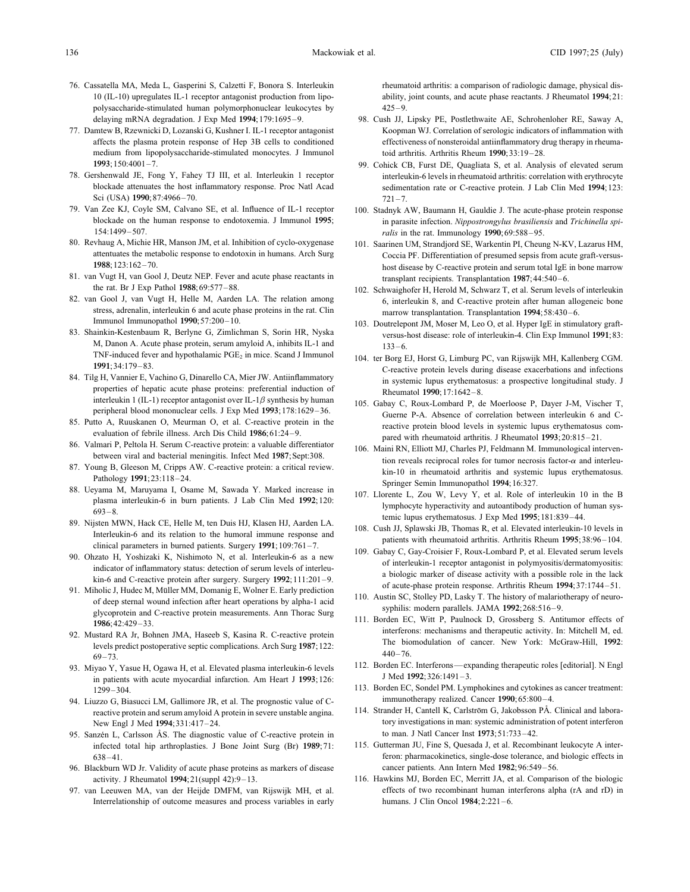- 76. Cassatella MA, Meda L, Gasperini S, Calzetti F, Bonora S. Interleukin rheumatoid arthritis: a comparison of radiologic damage, physical dis-10 (IL-10) upregulates IL-1 receptor antagonist production from lipo- ability, joint counts, and acute phase reactants. J Rheumatol **1994**;21: polysaccharide-stimulated human polymorphonuclear leukocytes by 425–9. delaying mRNA degradation. J Exp Med **1994**;179:1695–9. 98. Cush JJ, Lipsky PE, Postlethwaite AE, Schrohenloher RE, Saway A,
- medium from lipopolysaccharide-stimulated monocytes. J Immunol toid arthritis. Arthritis Rheum **1990**;33:19–28. **1993**;150:4001–7. 99. Cohick CB, Furst DE, Quagliata S, et al. Analysis of elevated serum
- Sci (USA) **1990**; 87:4966–70. 721–7.
- 79. Van Zee KJ, Coyle SM, Calvano SE, et al. Influence of IL-1 receptor 100. Stadnyk AW, Baumann H, Gauldie J. The acute-phase protein response
- 80. Revhaug A, Michie HR, Manson JM, et al. Inhibition of cyclo-oxygenase 101. Saarinen UM, Strandjord SE, Warkentin PI, Cheung N-KV, Lazarus HM,
- 81. van Vugt H, van Gool J, Deutz NEP. Fever and acute phase reactants in transplant recipients. Transplantation 1987;44:540–6.<br>the rat. Br J Exp Pathol 1988;69:577–88. 102. Schwaighofer H. Herold M. Schwarz T. et al. Seru
- stress, adrenalin, interleukin 6 and acute phase proteins in the rat. Clin marrow transplantation. Transplantation 1994;58:430–6.<br>In marrow transplantation. Transplantation 1994;58:430–6.<br>In marrow transplantation. Transpl
- M, Danon A. Acute phase protein, serum amyloid A, inhibits IL-1 and 133–6.<br>TNF-induced fever and hypothalamic PGE<sub>2</sub> in mice. Scand J Immunol 104 ter Borg F TNF-induced fever and hypothalamic PGE<sub>2</sub> in mice. Scand J Immunol 104. ter Borg EJ, Horst G, Limburg PC, van Rijswijk MH, Kallenberg CGM.<br>Consertius parties handle during disease approximately included the second secondat
- ig H, Vannier E, Vachino G, Dinarello CA, Mier JW. Antiinflammatory<br>properties of hepatic acute phase proteins: preferential induction of<br>interleukin 1 (IL-1) receptor antagonist over IL-1 $\beta$  synthesis by human<br>105 Gabay
- 
- 
- 
- 
- 
- 
- 
- $69-73.$  440-76.
- in patients with acute myocardial infarction. Am Heart J 1993;126:
- 94. Liuzzo G, Biasucci LM, Gallimore JR, et al. The prognostic value of Creactive protein and serum amyloid A protein in severe unstable angina. 114. Strander H, Cantell K, Carlström G, Jakobsson PÅ. Clinical and labora-
- 95. Sanzén L, Carlsson ÅS. The diagnostic value of C-reactive protein in to man. J Natl Cancer Inst 1973;51:733–42.
- 96. Blackburn WD Jr. Validity of acute phase proteins as markers of disease activity. J Rheumatol 1994; 21(suppl 42):9-13.
- Interrelationship of outcome measures and process variables in early humans. J Clin Oncol **1984**;2:221–6.

- 77. Damtew B, Rzewnicki D, Lozanski G, Kushner I. IL-1 receptor antagonist Koopman WJ. Correlation of serologic indicators of inflammation with affects the plasma protein response of Hep 3B cells to conditioned effectiveness of nonsteroidal antiinflammatory drug therapy in rheuma-
- 78. Gershenwald JE, Fong Y, Fahey TJ III, et al. Interleukin 1 receptor interleukin-6 levels in rheumatoid arthritis: correlation with erythrocyte blockade attenuates the host inflammatory response. Proc Natl Acad sedimentation rate or C-reactive protein. J Lab Clin Med **1994**;123:
	- blockade on the human response to endotoxemia. J Immunol **1995**; in parasite infection. *Nippostrongylus brasiliensis* and *Trichinella spi-*154:1499–507. *ralis* in the rat. Immunology **1990**;69:588–95.
	- attentuates the metabolic response to endotoxin in humans. Arch Surg Coccia PF. Differentiation of presumed sepsis from acute graft-versus-<br>
	1988: 123:162-70. host disease by C-reactive protein and serum total IgE in bone marrow
- 102. Schwaighofer H, Herold M, Schwarz T, et al. Serum levels of interleukin 82. van Gool J, van Vugt H, Helle M, Aarden LA. The relation among 6. interleukin 8, and C-reactive protein after human allogeneic bone
- Immunol Immunopathol **1990**;57:200–10. 103. Sorin HR, Nyska 103. Doutrelepont JM, Moser M, Leo O, et al. Hyper IgE in stimulatory graft-<br>83. Shainkin-Kestenbaum R, Berlyne G, Zimlichman S, Sorin HR, Nyska versus-host disea versus-host disease: role of interleukin-4. Clin Exp Immunol 1991;83:
- **1991**;34:179–83.<br>
84. Tilg H, Vannier E, Vachino G, Dinarello CA, Mier JW. Antiinflammatory C-reactive protein levels during disease exacerbations and infections and infections of the State of the State of the State of th
- mterieukin 1 (IL-1) receptor antagonist over IL-1*p* synthesis by numan<br>peripheral blood mononuclear cells. J Exp Med 1993;178:1629–36.<br>85. Putto A, Ruuskanen O, Meurman O, et al. C-reactive protein in the reactive protein 85. Putto A, Ruuskanen O, Meurman O, et al. C-reactive protein in the reactive protein blood levels in systemic lupus erythematosus com-<br>evaluation of febrile illness. Arch Dis Child 1986; 61:24–9.<br>86. Valmari P, Peltola
	-
	-
	-
- Factorology B, Giesson M, Cirpse AW. C-reactive protein: a critical review.<br>
Pathology 1991:32:118-24.<br>
Pathology 1991:32:118-24.<br>
Pathology 1991:32:118-24.<br>
Pathology 1994:18-24.<br>
Pathology 1994:18-24.<br>
Pathology and int
	-
	-
- 93. Miyao Y, Yasue H, Ogawa H, et al. Elevated plasma interleukin-6 levels<br>in patients with acute myocardial infarction Am Heart I 1993.126:<br>J Med 1992;326:1491-3.
	- 1299–304.<br>113. Borden EC, Sondel PM. Lymphokines and cytokines as cancer treatment:<br>113. Borden EC, Sondel PM. Lymphokines and cytokines as cancer treatment:<br>113. Borden EC, Sondel PM. Lymphokines and cytokines as cancer t
	- New Engl J Med 1994;331:417-24. tory investigations in man: systemic administration of potent interferon
	- infected total hip arthroplasties. J Bone Joint Surg (Br) **1989**;71: 115. Gutterman JU, Fine S, Quesada J, et al. Recombinant leukocyte A inter-638–41. feron: pharmacokinetics, single-dose tolerance, and biologic effects in
- 116. Hawkins MJ, Borden EC, Merritt JA, et al. Comparison of the biologic 97. van Leeuwen MA, van der Heijde DMFM, van Rijswijk MH, et al. effects of two recombinant human interferons alpha (rA and rD) in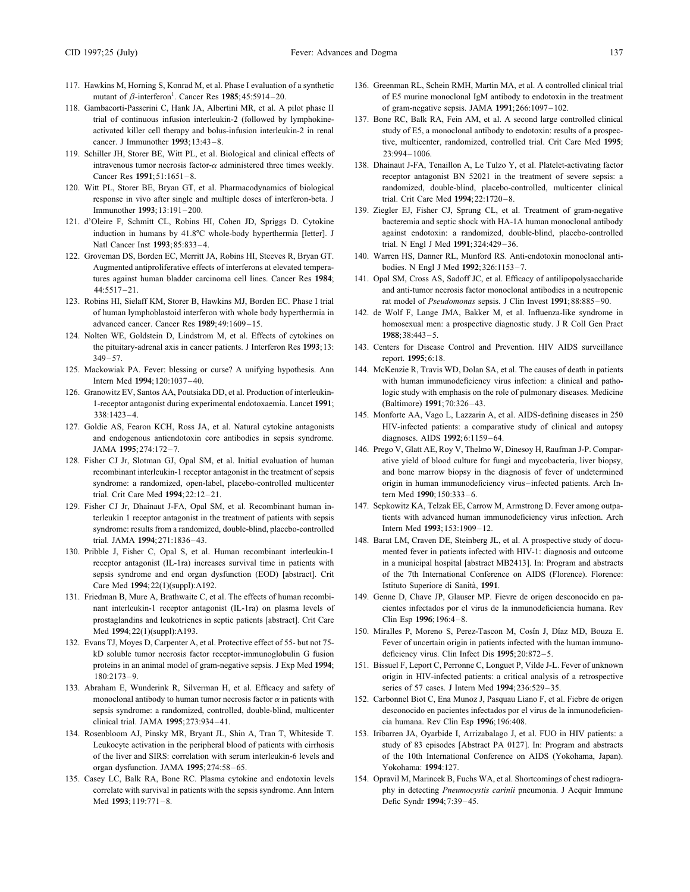- 117. Hawkins M, Horning S, Konrad M, et al. Phase I evaluation of a synthetic 136. Greenman RL, Schein RMH, Martin MA, et al. A controlled clinical trial mutant of  $\beta$ -interferon<sup>1</sup>. Cancer Res 1985; 45:5914-20.
- 118. Gambacorti-Passerini C, Hank JA, Albertini MR, et al. A pilot phase II of gram-negative sepsis. JAMA **1991**;266:1097–102. trial of continuous infusion interleukin-2 (followed by lymphokine- 137. Bone RC, Balk RA, Fein AM, et al. A second large controlled clinical
- 119. Schiller JH, Storer BE, Witt PL, et al. Biological and clinical effects of 23:994–1006. intravenous tumor necrosis factor-a administered three times weekly. 138. Dhainaut J-FA, Tenaillon A, Le Tulzo Y, et al. Platelet-activating factor
- response in vivo after single and multiple doses of interferon-beta. J trial. Crit Care Med **1994**;22:1720–8. Immunother **1993**;13:191–200. 139. Ziegler EJ, Fisher CJ, Sprung CL, et al. Treatment of gram-negative
- Natl Cancer Inst **1993**;85:833–4. trial. N Engl J Med **1991**;324:429–36.
- Augmented antiproliferative effects of interferons at elevated tempera- bodies. N Engl J Med **1992**;326:1153–7. tures against human bladder carcinoma cell lines. Cancer Res **1984**; 141. Opal SM, Cross AS, Sadoff JC, et al. Efficacy of antilipopolysaccharide
- of human lymphoblastoid interferon with whole body hyperthermia in 142. de Wolf F, Lange JMA, Bakker M, et al. Influenza-like syndrome in
- 124. Nolten WE, Goldstein D, Lindstrom M, et al. Effects of cytokines on **1988**;38:443–5. the pituitary-adrenal axis in cancer patients. J Interferon Res **1993**;13: 143. Centers for Disease Control and Prevention. HIV AIDS surveillance 349–57. report. **1995**;6:18.
- 125. Mackowiak PA. Fever: blessing or curse? A unifying hypothesis. Ann 144. McKenzie R, Travis WD, Dolan SA, et al. The causes of death in patients
- 1-receptor antagonist during experimental endotoxaemia. Lancet **1991**; (Baltimore) **1991**;70:326–43.
- and endogenous antiendotoxin core antibodies in sepsis syndrome. diagnoses. AIDS **1992**;6:1159–64. JAMA 1995;274:172-7. 146. Prego V, Glatt AE, Roy V, Thelmo W, Dinesoy H, Raufman J-P. Compar-
- trial. Crit Care Med **1994**;22:12–21. tern Med **1990**;150:333–6.
- syndrome: results from a randomized, double-blind, placebo-controlled Intern Med 1993;153:1909-12.
- Care Med **1994**;22(1)(suppl):A192. Istituto Superiore di Sanita`, **1991**.
- 131. Friedman B, Mure A, Brathwaite C, et al. The effects of human recombi- 149. Genne D, Chave JP, Glauser MP. Fievre de origen desconocido en paprostaglandins and leukotrienes in septic patients [abstract]. Crit Care Clin Esp **1996**;196:4–8.
- 132. Evans TJ, Moyes D, Carpenter A, et al. Protective effect of 55- but not 75kD soluble tumor necrosis factor receptor-immunoglobulin G fusion deficiency virus. Clin Infect Dis **1995**;20:872–5. proteins in an animal model of gram-negative sepsis. J Exp Med **1994**; 151. Bissuel F, Leport C, Perronne C, Longuet P, Vilde J-L. Fever of unknown
- 133. Abraham E, Wunderink R, Silverman H, et al. Efficacy and safety of series of 57 cases. J Intern Med **1994**;236:529–35. monoclonal antibody to human tumor necrosis factor  $\alpha$  in patients with 152. Carbonnel Biot C, Ena Munoz J, Pasquau Liano F, et al. Fiebre de origen clinical trial. JAMA **1995**;273:934–41. cia humana. Rev Clin Esp **1996**;196:408.
- organ dysfunction. JAMA **1995**;274:58–65. Yokohama: **1994**:127.
- 135. Casey LC, Balk RA, Bone RC. Plasma cytokine and endotoxin levels 154. Opravil M, Marincek B, Fuchs WA, et al. Shortcomings of chest radiogra-Med **1993**;119:771–8. Defic Syndr **1994**;7:39–45.
- of E5 murine monoclonal IgM antibody to endotoxin in the treatment
- activated killer cell therapy and bolus-infusion interleukin-2 in renal study of E5, a monoclonal antibody to endotoxin: results of a prospeccancer. J Immunother **1993**;13:43–8. tive, multicenter, randomized, controlled trial. Crit Care Med **1995**;
- Cancer Res 1991;51:1651–8. **receptor antagonist BN 52021** in the treatment of severe sepsis: a 120. Witt PL, Storer BE, Bryan GT, et al. Pharmacodynamics of biological randomized, double-blind, placebo-controlled, multicenter clinical
- 121. d'Oleire F, Schmitt CL, Robins HI, Cohen JD, Spriggs D. Cytokine bacteremia and septic shock with HA-1A human monoclonal antibody induction in humans by 41.87C whole-body hyperthermia [letter]. J against endotoxin: a randomized, double-blind, placebo-controlled
- 122. Groveman DS, Borden EC, Merritt JA, Robins HI, Steeves R, Bryan GT. 140. Warren HS, Danner RL, Munford RS. Anti-endotoxin monoclonal anti-
- 44:5517–21. and anti-tumor necrosis factor monoclonal antibodies in a neutropenic 123. Robins HI, Sielaff KM, Storer B, Hawkins MJ, Borden EC. Phase I trial rat model of *Pseudomonas* sepsis. J Clin Invest **1991**;88:885–90.
	- advanced cancer. Cancer Res **1989**;49:1609–15. homosexual men: a prospective diagnostic study. J R Coll Gen Pract
		-
- Intern Med **1994**;120:1037–40. with human immunodeficiency virus infection: a clinical and patho-126. Granowitz EV, Santos AA, Poutsiaka DD, et al. Production of interleukin- logic study with emphasis on the role of pulmonary diseases. Medicine
- 338:1423–4. 145. Monforte AA, Vago L, Lazzarin A, et al. AIDS-defining diseases in 250 127. Goldie AS, Fearon KCH, Ross JA, et al. Natural cytokine antagonists HIV-infected patients: a comparative study of clinical and autopsy
- 128. Fisher CJ Jr, Slotman GJ, Opal SM, et al. Initial evaluation of human ative yield of blood culture for fungi and mycobacteria, liver biopsy, recombinant interleukin-1 receptor antagonist in the treatment of sepsis and bone marrow biopsy in the diagnosis of fever of undetermined syndrome: a randomized, open-label, placebo-controlled multicenter origin in human immunodeficiency virus–infected patients. Arch In-
- 129. Fisher CJ Jr, Dhainaut J-FA, Opal SM, et al. Recombinant human in- 147. Sepkowitz KA, Telzak EE, Carrow M, Armstrong D. Fever among outpaterleukin 1 receptor antagonist in the treatment of patients with sepsis tients with advanced human immunodeficiency virus infection. Arch
- trial. JAMA **1994**;271:1836–43. 148. Barat LM, Craven DE, Steinberg JL, et al. A prospective study of docu-130. Pribble J, Fisher C, Opal S, et al. Human recombinant interleukin-1 mented fever in patients infected with HIV-1: diagnosis and outcome receptor antagonist (IL-1ra) increases survival time in patients with in a municipal hospital [abstract MB2413]. In: Program and abstracts sepsis syndrome and end organ dysfunction (EOD) [abstract]. Crit of the 7th International Conference on AIDS (Florence). Florence:
	- nant interleukin-1 receptor antagonist (IL-1ra) on plasma levels of cientes infectados por el virus de la inmunodeficiencia humana. Rev
	- Med 1994; 22(1)(suppl):A193.<br>
	150. Miralles P, Moreno S, Perez-Tascon M, Cosín J, Díaz MD, Bouza E.<br>
	Fever of uncertain origin in patients infected with the human immuno-<br>
	Fever of uncertain origin in patients infected wit
	- 180:2173–9. origin in HIV-infected patients: a critical analysis of a retrospective
	- sepsis syndrome: a randomized, controlled, double-blind, multicenter desconocido en pacientes infectados por el virus de la inmunodeficien-
- 134. Rosenbloom AJ, Pinsky MR, Bryant JL, Shin A, Tran T, Whiteside T. 153. Iribarren JA, Oyarbide I, Arrizabalago J, et al. FUO in HIV patients: a Leukocyte activation in the peripheral blood of patients with cirrhosis study of 83 episodes [Abstract PA 0127]. In: Program and abstracts of the liver and SIRS: correlation with serum interleukin-6 levels and of the 10th International Conference on AIDS (Yokohama, Japan).
	- correlate with survival in patients with the sepsis syndrome. Ann Intern phy in detecting *Pneumocystis carinii* pneumonia. J Acquir Immune